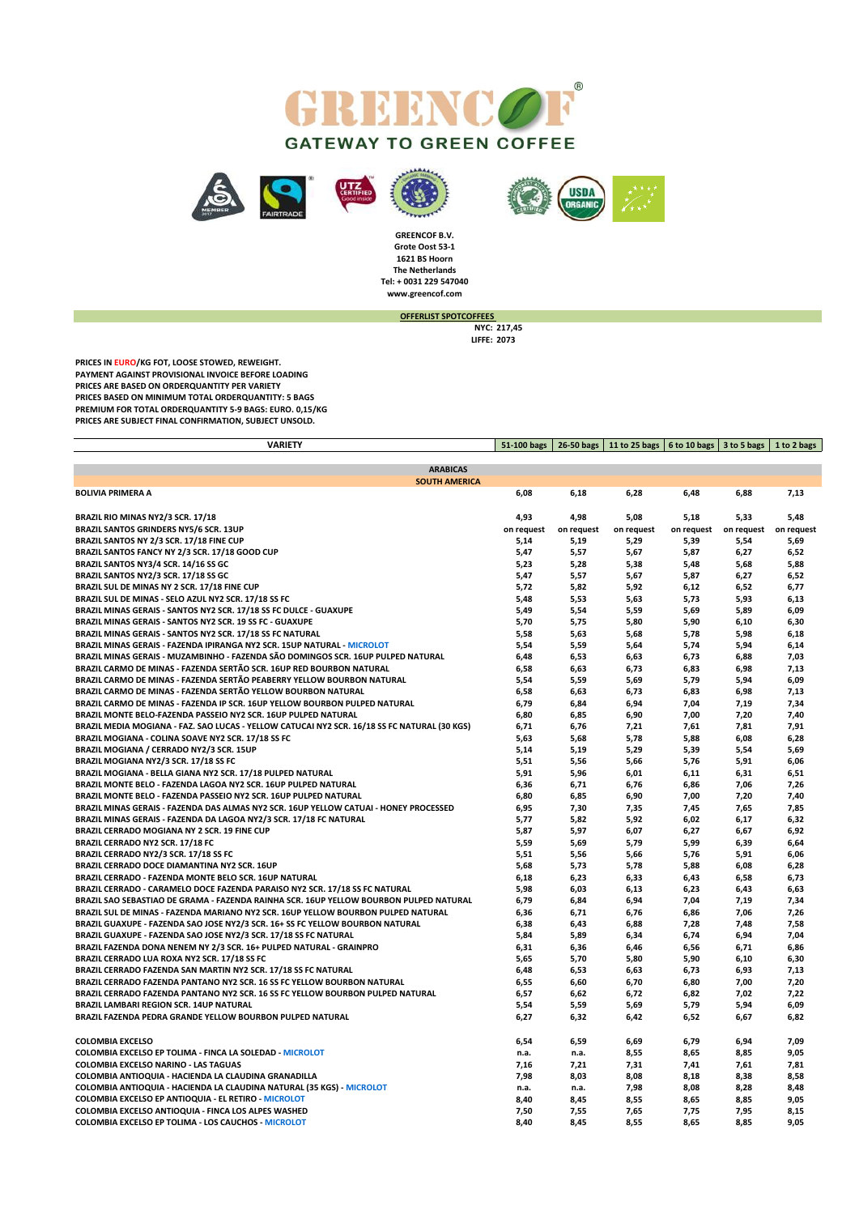







**www.greencof.com GREENCOF B.V. Grote Oost 53-1 1621 BS Hoorn The Netherlands Tel: + 0031 229 547040**

**OFFERLIST SPOTCOFFEES** 

**NYC: 217,45 LIFFE: 2073**

**PRICES IN EURO/KG FOT, LOOSE STOWED, REWEIGHT. PAYMENT AGAINST PROVISIONAL INVOICE BEFORE LOADING PRICES ARE BASED ON ORDERQUANTITY PER VARIETY PRICES BASED ON MINIMUM TOTAL ORDERQUANTITY: 5 BAGS PREMIUM FOR TOTAL ORDERQUANTITY 5-9 BAGS: EURO. 0,15/KG PRICES ARE SUBJECT FINAL CONFIRMATION, SUBJECT UNSOLD.**

| <b>VARIETY</b>                                                                   | 51-100 bags | 26-50 bags | 11 to 25 bags   6 to 10 bags |            | 3 to 5 bags | 1 to 2 bags |
|----------------------------------------------------------------------------------|-------------|------------|------------------------------|------------|-------------|-------------|
|                                                                                  |             |            |                              |            |             |             |
| <b>ARABICAS</b>                                                                  |             |            |                              |            |             |             |
| <b>SOUTH AMERICA</b>                                                             |             |            |                              |            |             |             |
| <b>BOLIVIA PRIMERA A</b>                                                         | 6,08        | 6,18       | 6,28                         | 6,48       | 6,88        | 7,13        |
|                                                                                  |             |            |                              |            |             |             |
| BRAZIL RIO MINAS NY2/3 SCR. 17/18                                                | 4,93        | 4,98       | 5,08                         | 5,18       | 5,33        | 5,48        |
| <b>BRAZIL SANTOS GRINDERS NY5/6 SCR. 13UP</b>                                    | on request  | on request | on request                   | on request | on request  | on request  |
| BRAZIL SANTOS NY 2/3 SCR. 17/18 FINE CUP                                         | 5,14        | 5,19       | 5,29                         | 5,39       | 5,54        | 5,69        |
| BRAZIL SANTOS FANCY NY 2/3 SCR. 17/18 GOOD CUP                                   | 5,47        | 5,57       | 5,67                         | 5,87       | 6,27        | 6,52        |
| BRAZIL SANTOS NY3/4 SCR. 14/16 SS GC                                             | 5,23        | 5,28       | 5,38                         | 5,48       | 5,68        | 5,88        |
| BRAZIL SANTOS NY2/3 SCR. 17/18 SS GC                                             | 5,47        | 5,57       | 5,67                         | 5,87       | 6,27        | 6,52        |
| BRAZIL SUL DE MINAS NY 2 SCR. 17/18 FINE CUP                                     | 5,72        | 5,82       | 5,92                         | 6,12       | 6,52        | 6,77        |
| BRAZIL SUL DE MINAS - SELO AZUL NY2 SCR. 17/18 SS FC                             | 5,48        | 5,53       | 5,63                         | 5,73       | 5,93        | 6,13        |
| BRAZIL MINAS GERAIS - SANTOS NY2 SCR. 17/18 SS FC DULCE - GUAXUPE                | 5,49        | 5,54       | 5,59                         | 5,69       | 5,89        | 6,09        |
| BRAZIL MINAS GERAIS - SANTOS NY2 SCR. 19 SS FC - GUAXUPE                         | 5,70        | 5,75       | 5,80                         | 5,90       | 6,10        | 6,30        |
| BRAZIL MINAS GERAIS - SANTOS NY2 SCR. 17/18 SS FC NATURAL                        | 5,58        | 5,63       | 5,68                         | 5,78       | 5,98        | 6,18        |
| BRAZIL MINAS GERAIS - FAZENDA IPIRANGA NY2 SCR. 15UP NATURAL - MICROLOT          | 5,54        | 5,59       | 5,64                         | 5,74       | 5,94        | 6,14        |
| BRAZIL MINAS GERAIS - MUZAMBINHO - FAZENDA SÃO DOMINGOS SCR. 16UP PULPED NATURAL | 6,48        | 6,53       | 6,63                         | 6,73       | 6,88        | 7,03        |
| BRAZIL CARMO DE MINAS - FAZENDA SERTÃO SCR. 16UP RED BOURBON NATURAL             | 6,58        | 6,63       | 6,73                         | 6,83       | 6,98        | 7,13        |
| BRAZIL CARMO DE MINAS - FAZENDA SERTÃO PEABERRY YELLOW BOURBON NATURAL           | 5,54        | 5,59       | 5.69                         | 5.79       | 5,94        | 6.09        |

| BRAZIL MINAS GERAIS - MUZAMBINHO - FAZENDA SÃO DOMINGOS SCR. 16UP PULPED NATURAL             | 6,48 | 6,53 | 6,63 | 6,73 | 6,88 | 7,03 |
|----------------------------------------------------------------------------------------------|------|------|------|------|------|------|
| BRAZIL CARMO DE MINAS - FAZENDA SERTÃO SCR. 16UP RED BOURBON NATURAL                         | 6,58 | 6,63 | 6,73 | 6,83 | 6,98 | 7,13 |
| BRAZIL CARMO DE MINAS - FAZENDA SERTÃO PEABERRY YELLOW BOURBON NATURAL                       | 5,54 | 5,59 | 5,69 | 5,79 | 5,94 | 6,09 |
| BRAZIL CARMO DE MINAS - FAZENDA SERTÃO YELLOW BOURBON NATURAL                                | 6,58 | 6,63 | 6,73 | 6,83 | 6,98 | 7,13 |
| BRAZIL CARMO DE MINAS - FAZENDA IP SCR. 16UP YELLOW BOURBON PULPED NATURAL                   | 6,79 | 6,84 | 6,94 | 7,04 | 7,19 | 7,34 |
| BRAZIL MONTE BELO-FAZENDA PASSEIO NY2 SCR. 16UP PULPED NATURAL                               | 6,80 | 6,85 | 6,90 | 7,00 | 7,20 | 7,40 |
| BRAZIL MEDIA MOGIANA - FAZ. SAO LUCAS - YELLOW CATUCAI NY2 SCR. 16/18 SS FC NATURAL (30 KGS) | 6,71 | 6,76 | 7,21 | 7,61 | 7,81 | 7,91 |
| BRAZIL MOGIANA - COLINA SOAVE NY2 SCR. 17/18 SS FC                                           | 5,63 | 5,68 | 5,78 | 5,88 | 6,08 | 6,28 |
| BRAZIL MOGIANA / CERRADO NY2/3 SCR. 15UP                                                     | 5,14 | 5,19 | 5,29 | 5,39 | 5,54 | 5,69 |
| BRAZIL MOGIANA NY2/3 SCR. 17/18 SS FC                                                        | 5,51 | 5,56 | 5,66 | 5,76 | 5,91 | 6,06 |
| BRAZIL MOGIANA - BELLA GIANA NY2 SCR. 17/18 PULPED NATURAL                                   | 5,91 | 5,96 | 6,01 | 6,11 | 6,31 | 6,51 |
| BRAZIL MONTE BELO - FAZENDA LAGOA NY2 SCR. 16UP PULPED NATURAL                               | 6,36 | 6,71 | 6,76 | 6,86 | 7,06 | 7,26 |
| BRAZIL MONTE BELO - FAZENDA PASSEIO NY2 SCR. 16UP PULPED NATURAL                             | 6,80 | 6,85 | 6,90 | 7,00 | 7,20 | 7,40 |
| BRAZIL MINAS GERAIS - FAZENDA DAS ALMAS NY2 SCR. 16UP YELLOW CATUAI - HONEY PROCESSED        | 6,95 | 7,30 | 7,35 | 7,45 | 7,65 | 7,85 |
| BRAZIL MINAS GERAIS - FAZENDA DA LAGOA NY2/3 SCR. 17/18 FC NATURAL                           | 5,77 | 5,82 | 5,92 | 6,02 | 6,17 | 6,32 |
| BRAZIL CERRADO MOGIANA NY 2 SCR. 19 FINE CUP                                                 | 5,87 | 5,97 | 6,07 | 6,27 | 6,67 | 6,92 |
| BRAZIL CERRADO NY2 SCR. 17/18 FC                                                             | 5,59 | 5,69 | 5,79 | 5,99 | 6,39 | 6,64 |
| BRAZIL CERRADO NY2/3 SCR. 17/18 SS FC                                                        | 5,51 | 5,56 | 5,66 | 5,76 | 5,91 | 6,06 |
| <b>BRAZIL CERRADO DOCE DIAMANTINA NY2 SCR. 16UP</b>                                          | 5,68 | 5,73 | 5,78 | 5,88 | 6,08 | 6,28 |
| BRAZIL CERRADO - FAZENDA MONTE BELO SCR. 16UP NATURAL                                        | 6,18 | 6,23 | 6,33 | 6,43 | 6,58 | 6,73 |
| BRAZIL CERRADO - CARAMELO DOCE FAZENDA PARAISO NY2 SCR. 17/18 SS FC NATURAL                  | 5,98 | 6,03 | 6,13 | 6,23 | 6,43 | 6,63 |
| BRAZIL SAO SEBASTIAO DE GRAMA - FAZENDA RAINHA SCR. 16UP YELLOW BOURBON PULPED NATURAL       | 6,79 | 6,84 | 6,94 | 7,04 | 7,19 | 7,34 |
| BRAZIL SUL DE MINAS - FAZENDA MARIANO NY2 SCR. 16UP YELLOW BOURBON PULPED NATURAL            | 6,36 | 6,71 | 6,76 | 6,86 | 7,06 | 7,26 |
| BRAZIL GUAXUPE - FAZENDA SAO JOSE NY2/3 SCR. 16+ SS FC YELLOW BOURBON NATURAL                | 6,38 | 6,43 | 6,88 | 7,28 | 7,48 | 7,58 |
| BRAZIL GUAXUPE - FAZENDA SAO JOSE NY2/3 SCR. 17/18 SS FC NATURAL                             | 5,84 | 5,89 | 6,34 | 6,74 | 6,94 | 7,04 |
| BRAZIL FAZENDA DONA NENEM NY 2/3 SCR. 16+ PULPED NATURAL - GRAINPRO                          | 6,31 | 6,36 | 6,46 | 6,56 | 6,71 | 6,86 |
| BRAZIL CERRADO LUA ROXA NY2 SCR. 17/18 SS FC                                                 | 5,65 | 5,70 | 5,80 | 5,90 | 6,10 | 6,30 |
| BRAZIL CERRADO FAZENDA SAN MARTIN NY2 SCR. 17/18 SS FC NATURAL                               | 6,48 | 6,53 | 6,63 | 6,73 | 6,93 | 7,13 |
| BRAZIL CERRADO FAZENDA PANTANO NY2 SCR. 16 SS FC YELLOW BOURBON NATURAL                      | 6,55 | 6,60 | 6,70 | 6,80 | 7,00 | 7,20 |
| BRAZIL CERRADO FAZENDA PANTANO NY2 SCR. 16 SS FC YELLOW BOURBON PULPED NATURAL               | 6,57 | 6,62 | 6,72 | 6,82 | 7,02 | 7,22 |
| BRAZIL LAMBARI REGION SCR. 14UP NATURAL                                                      | 5,54 | 5,59 | 5,69 | 5,79 | 5,94 | 6,09 |
| BRAZIL FAZENDA PEDRA GRANDE YELLOW BOURBON PULPED NATURAL                                    | 6,27 | 6,32 | 6,42 | 6,52 | 6,67 | 6,82 |
| <b>COLOMBIA EXCELSO</b>                                                                      | 6,54 | 6,59 | 6,69 | 6,79 | 6,94 | 7,09 |
| COLOMBIA EXCELSO EP TOLIMA - FINCA LA SOLEDAD - MICROLOT                                     | n.a. | n.a. | 8,55 | 8,65 | 8,85 | 9,05 |
| <b>COLOMBIA EXCELSO NARINO - LAS TAGUAS</b>                                                  | 7,16 | 7,21 | 7,31 | 7,41 | 7,61 | 7,81 |
| COLOMBIA ANTIOQUIA - HACIENDA LA CLAUDINA GRANADILLA                                         | 7,98 | 8,03 | 8,08 | 8,18 | 8,38 | 8,58 |
| COLOMBIA ANTIOQUIA - HACIENDA LA CLAUDINA NATURAL (35 KGS) - MICROLOT                        | n.a. | n.a. | 7,98 | 8,08 | 8,28 | 8,48 |
| COLOMBIA EXCELSO EP ANTIOQUIA - EL RETIRO - MICROLOT                                         | 8,40 | 8,45 | 8,55 | 8,65 | 8,85 | 9,05 |
| COLOMBIA EXCELSO ANTIOQUIA - FINCA LOS ALPES WASHED                                          | 7,50 | 7,55 | 7,65 | 7,75 | 7,95 | 8,15 |
| COLOMBIA EXCELSO EP TOLIMA - LOS CAUCHOS - MICROLOT                                          | 8,40 | 8,45 | 8,55 | 8,65 | 8,85 | 9,05 |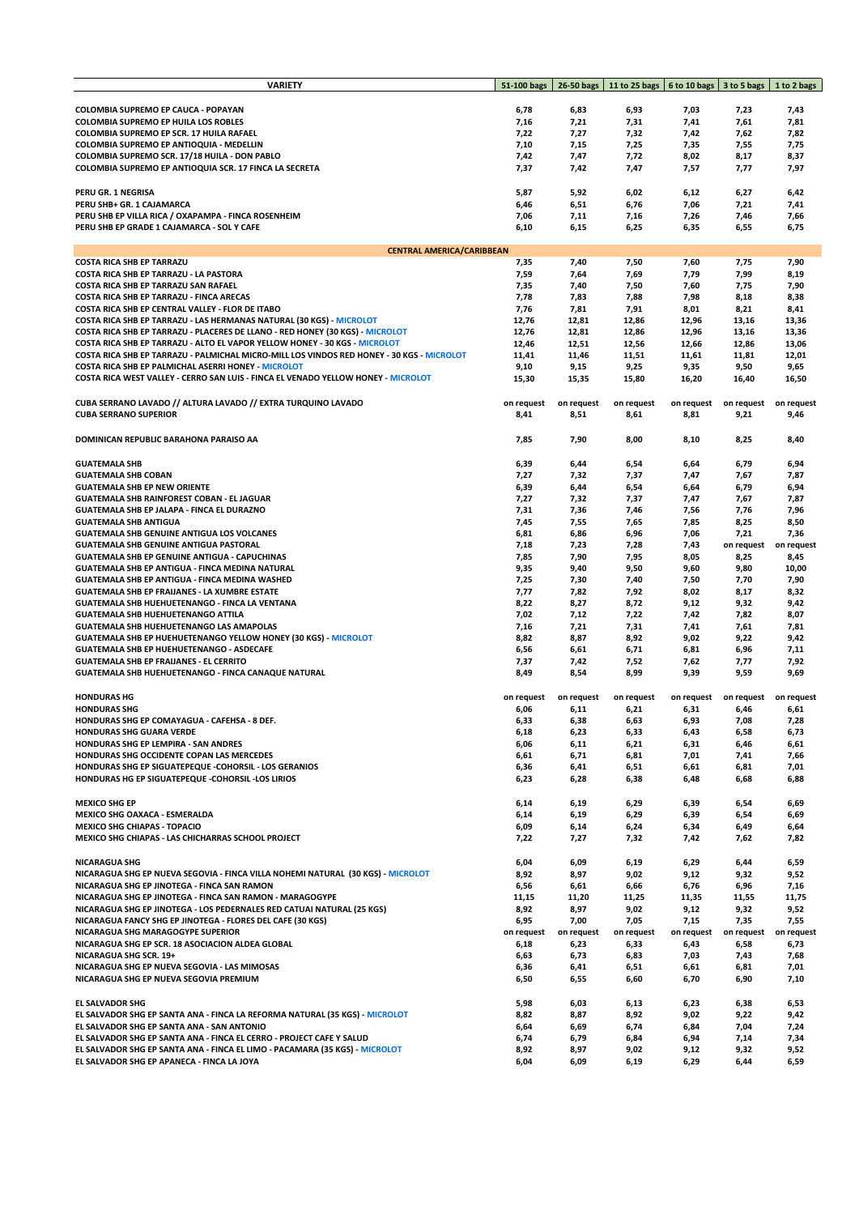| <b>VARIETY</b>                                                                                        | 51-100 bags | 26-50 bags   | 11 to 25 bags | 6 to 10 bags | 3 to 5 bags  | 1 to 2 bags   |
|-------------------------------------------------------------------------------------------------------|-------------|--------------|---------------|--------------|--------------|---------------|
|                                                                                                       |             |              |               |              |              |               |
| COLOMBIA SUPREMO EP CAUCA - POPAYAN                                                                   | 6,78        | 6,83         | 6,93          | 7,03         | 7,23         | 7,43          |
| <b>COLOMBIA SUPREMO EP HUILA LOS ROBLES</b>                                                           | 7,16        | 7,21         | 7,31          | 7,41         | 7,61         | 7,81          |
| COLOMBIA SUPREMO EP SCR. 17 HUILA RAFAEL                                                              | 7,22        | 7,27         | 7,32          | 7,42         | 7,62         | 7,82          |
| COLOMBIA SUPREMO EP ANTIOQUIA - MEDELLIN                                                              | 7,10        | 7,15         | 7,25          | 7,35         | 7,55         | 7,75          |
| COLOMBIA SUPREMO SCR. 17/18 HUILA - DON PABLO                                                         | 7,42        | 7,47         | 7,72          | 8,02         | 8,17         | 8,37          |
| COLOMBIA SUPREMO EP ANTIOQUIA SCR. 17 FINCA LA SECRETA                                                | 7,37        | 7,42         | 7,47          | 7,57         | 7,77         | 7,97          |
|                                                                                                       |             |              |               |              |              |               |
|                                                                                                       |             |              |               |              |              |               |
| PERU GR. 1 NEGRISA                                                                                    | 5,87        | 5,92         | 6,02          | 6,12         | 6,27         | 6,42          |
| PERU SHB+ GR. 1 CAJAMARCA                                                                             | 6,46        | 6,51         | 6,76          | 7,06         | 7,21         | 7,41          |
| PERU SHB EP VILLA RICA / OXAPAMPA - FINCA ROSENHEIM                                                   | 7,06        | 7,11         | 7,16          | 7,26         | 7,46         | 7,66          |
| PERU SHB EP GRADE 1 CAJAMARCA - SOL Y CAFE                                                            | 6,10        | 6,15         | 6,25          | 6,35         | 6,55         | 6,75          |
|                                                                                                       |             |              |               |              |              |               |
| <b>CENTRAL AMERICA/CARIBBEAN</b>                                                                      |             |              |               |              |              |               |
| <b>COSTA RICA SHB EP TARRAZU</b>                                                                      | 7,35        | 7,40         | 7,50          | 7,60         | 7,75         | 7,90          |
| COSTA RICA SHB EP TARRAZU - LA PASTORA                                                                | 7,59        | 7,64         | 7,69          | 7,79         | 7,99         | 8,19          |
| COSTA RICA SHB EP TARRAZU SAN RAFAEL                                                                  | 7,35        | 7,40         | 7,50          | 7,60         | 7,75         | 7,90          |
| COSTA RICA SHB EP TARRAZU - FINCA ARECAS                                                              | 7,78        | 7,83         | 7,88          | 7,98         | 8,18         | 8,38          |
| COSTA RICA SHB EP CENTRAL VALLEY - FLOR DE ITABO                                                      | 7,76        | 7,81         | 7,91          | 8,01         | 8,21         | 8,41          |
| COSTA RICA SHB EP TARRAZU - LAS HERMANAS NATURAL (30 KGS) - MICROLOT                                  | 12,76       | 12,81        | 12,86         | 12,96        | 13,16        | 13,36         |
| COSTA RICA SHB EP TARRAZU - PLACERES DE LLANO - RED HONEY (30 KGS) - MICROLOT                         | 12,76       | 12,81        | 12,86         | 12,96        | 13,16        | 13,36         |
| COSTA RICA SHB EP TARRAZU - ALTO EL VAPOR YELLOW HONEY - 30 KGS - MICROLOT                            | 12,46       | 12,51        | 12,56         | 12,66        | 12,86        | 13,06         |
| COSTA RICA SHB EP TARRAZU - PALMICHAL MICRO-MILL LOS VINDOS RED HONEY - 30 KGS - MICROLOT             | 11,41       | 11,46        | 11,51         | 11,61        | 11,81        | 12,01         |
| COSTA RICA SHB EP PALMICHAL ASERRI HONEY - MICROLOT                                                   | 9,10        | 9,15         | 9,25          | 9,35         | 9,50         | 9,65          |
| COSTA RICA WEST VALLEY - CERRO SAN LUIS - FINCA EL VENADO YELLOW HONEY - MICROLOT                     | 15,30       | 15,35        | 15,80         | 16,20        | 16,40        | 16,50         |
|                                                                                                       |             |              |               |              |              |               |
| CUBA SERRANO LAVADO // ALTURA LAVADO // EXTRA TURQUINO LAVADO                                         | on request  | on request   | on request    | on request   | on request   | on request    |
| <b>CUBA SERRANO SUPERIOR</b>                                                                          | 8,41        | 8,51         | 8,61          | 8,81         | 9,21         | 9,46          |
|                                                                                                       |             |              |               |              |              |               |
| DOMINICAN REPUBLIC BARAHONA PARAISO AA                                                                | 7,85        | 7,90         | 8,00          | 8,10         | 8,25         | 8,40          |
|                                                                                                       |             |              |               |              |              |               |
| <b>GUATEMALA SHB</b>                                                                                  | 6,39        | 6,44         | 6,54          | 6,64         | 6,79         | 6,94          |
| <b>GUATEMALA SHB COBAN</b>                                                                            | 7,27        | 7,32         | 7,37          | 7,47         | 7,67         | 7,87          |
| <b>GUATEMALA SHB EP NEW ORIENTE</b>                                                                   | 6,39        | 6,44         | 6,54          | 6,64         | 6,79         | 6,94          |
| <b>GUATEMALA SHB RAINFOREST COBAN - EL JAGUAR</b>                                                     | 7,27        | 7,32         | 7,37          | 7,47         | 7,67         | 7,87          |
| GUATEMALA SHB EP JALAPA - FINCA EL DURAZNO                                                            | 7,31        | 7,36         | 7,46          | 7,56         | 7,76         | 7,96          |
| <b>GUATEMALA SHB ANTIGUA</b>                                                                          | 7,45        | 7,55         | 7,65          | 7,85         | 8,25         | 8,50          |
| <b>GUATEMALA SHB GENUINE ANTIGUA LOS VOLCANES</b>                                                     | 6,81        | 6,86         | 6,96          | 7,06         | 7,21         | 7,36          |
|                                                                                                       | 7,18        | 7,23         |               |              |              |               |
| <b>GUATEMALA SHB GENUINE ANTIGUA PASTORAL</b><br><b>GUATEMALA SHB EP GENUINE ANTIGUA - CAPUCHINAS</b> | 7,85        |              | 7,28<br>7,95  | 7,43<br>8,05 | on request   | on request    |
| GUATEMALA SHB EP ANTIGUA - FINCA MEDINA NATURAL                                                       | 9,35        | 7,90<br>9,40 | 9,50          | 9,60         | 8,25<br>9,80 | 8,45<br>10,00 |
| GUATEMALA SHB EP ANTIGUA - FINCA MEDINA WASHED                                                        | 7,25        | 7,30         | 7,40          | 7,50         | 7,70         | 7,90          |
| <b>GUATEMALA SHB EP FRAIJANES - LA XUMBRE ESTATE</b>                                                  |             |              |               |              |              |               |
|                                                                                                       | 7,77        | 7,82         | 7,92          | 8,02         | 8,17         | 8,32          |
| GUATEMALA SHB HUEHUETENANGO - FINCA LA VENTANA                                                        | 8,22        | 8,27         | 8,72          | 9,12         | 9,32         | 9,42          |
| <b>GUATEMALA SHB HUEHUETENANGO ATTILA</b>                                                             | 7,02        | 7,12         | 7,22          | 7,42         | 7,82         | 8,07          |
| <b>GUATEMALA SHB HUEHUETENANGO LAS AMAPOLAS</b>                                                       | 7,16        | 7,21         | 7,31          | 7,41         | 7,61         | 7,81          |
| <b>GUATEMALA SHB EP HUEHUETENANGO YELLOW HONEY (30 KGS) - MICROLOT</b>                                | 8,82        | 8,87         | 8,92          | 9,02         | 9,22         | 9,42          |
| <b>GUATEMALA SHB EP HUEHUETENANGO - ASDECAFE</b>                                                      | 6,56        | 6,61         | 6,71          | 6,81         | 6,96         | 7,11          |
| <b>GUATEMALA SHB EP FRAIJANES - EL CERRITO</b>                                                        | 7,37        | 7,42         | 7,52          | 7,62         | 7,77         | 7,92          |
| <b>GUATEMALA SHB HUEHUETENANGO - FINCA CANAQUE NATURAL</b>                                            | 8,49        | 8,54         | 8,99          | 9,39         | 9,59         | 9,69          |
|                                                                                                       |             |              |               |              |              |               |
| <b>HONDURAS HG</b>                                                                                    | on request  | on request   | on request    | on request   | on request   | on request    |
| <b>HONDURAS SHG</b>                                                                                   | 6,06        | 6,11         | 6,21          | 6,31         | 6,46         | 6,61          |
| HONDURAS SHG EP COMAYAGUA - CAFEHSA - 8 DEF.                                                          | 6,33        | 6,38         | 6,63          | 6,93         | 7,08         | 7,28          |
| HONDURAS SHG GUARA VERDE                                                                              | 6,18        | 6,23         | 6,33          | 6,43         | 6,58         | 6,73          |
| HONDURAS SHG EP LEMPIRA - SAN ANDRES                                                                  | 6,06        | 6,11         | 6,21          | 6,31         | 6,46         | 6,61          |
| HONDURAS SHG OCCIDENTE COPAN LAS MERCEDES                                                             | 6,61        | 6,71         | 6,81          | 7,01         | 7,41         | 7,66          |
| HONDURAS SHG EP SIGUATEPEQUE - COHORSIL - LOS GERANIOS                                                | 6,36        | 6,41         | 6,51          | 6,61         | 6,81         | 7,01          |
| HONDURAS HG EP SIGUATEPEQUE - COHORSIL - LOS LIRIOS                                                   | 6,23        | 6,28         | 6,38          | 6,48         | 6,68         | 6,88          |
|                                                                                                       |             |              |               |              |              |               |
| <b>MEXICO SHG EP</b>                                                                                  | 6,14        | 6,19         | 6,29          | 6,39         | 6,54         | 6,69          |
| MEXICO SHG OAXACA - ESMERALDA                                                                         | 6,14        | 6,19         | 6,29          | 6,39         | 6,54         | 6,69          |
| <b>MEXICO SHG CHIAPAS - TOPACIO</b>                                                                   | 6,09        | 6,14         | 6,24          | 6,34         | 6,49         | 6,64          |
| MEXICO SHG CHIAPAS - LAS CHICHARRAS SCHOOL PROJECT                                                    | 7,22        | 7,27         | 7,32          | 7,42         | 7,62         | 7,82          |
|                                                                                                       |             |              |               |              |              |               |
| <b>NICARAGUA SHG</b>                                                                                  | 6,04        | 6,09         | 6,19          | 6,29         | 6,44         | 6,59          |
| NICARAGUA SHG EP NUEVA SEGOVIA - FINCA VILLA NOHEMI NATURAL (30 KGS) - MICROLOT                       | 8,92        | 8,97         | 9,02          | 9,12         | 9,32         | 9,52          |
| NICARAGUA SHG EP JINOTEGA - FINCA SAN RAMON                                                           | 6,56        | 6,61         | 6,66          | 6,76         | 6,96         | 7,16          |
| NICARAGUA SHG EP JINOTEGA - FINCA SAN RAMON - MARAGOGYPE                                              | 11,15       | 11,20        | 11,25         | 11,35        | 11,55        | 11,75         |
| NICARAGUA SHG EP JINOTEGA - LOS PEDERNALES RED CATUAI NATURAL (25 KGS)                                | 8,92        | 8,97         | 9,02          | 9,12         | 9,32         | 9,52          |
| NICARAGUA FANCY SHG EP JINOTEGA - FLORES DEL CAFE (30 KGS)                                            | 6,95        | 7,00         | 7,05          | 7,15         | 7,35         | 7,55          |
| NICARAGUA SHG MARAGOGYPE SUPERIOR                                                                     | on request  | on request   | on request    | on request   | on request   | on request    |
| NICARAGUA SHG EP SCR. 18 ASOCIACION ALDEA GLOBAL                                                      | 6,18        | 6,23         | 6,33          | 6,43         | 6,58         | 6,73          |
| NICARAGUA SHG SCR. 19+                                                                                | 6,63        | 6,73         | 6,83          | 7,03         | 7,43         | 7,68          |
| NICARAGUA SHG EP NUEVA SEGOVIA - LAS MIMOSAS                                                          | 6,36        | 6,41         | 6,51          | 6,61         | 6,81         | 7,01          |
| NICARAGUA SHG EP NUEVA SEGOVIA PREMIUM                                                                | 6,50        | 6,55         | 6,60          | 6,70         | 6,90         | 7,10          |
|                                                                                                       |             |              |               |              |              |               |
| <b>EL SALVADOR SHG</b>                                                                                | 5,98        | 6,03         | 6,13          | 6,23         | 6,38         | 6,53          |
| EL SALVADOR SHG EP SANTA ANA - FINCA LA REFORMA NATURAL (35 KGS) - MICROLOT                           | 8,82        | 8,87         | 8,92          | 9,02         | 9,22         | 9,42          |
| EL SALVADOR SHG EP SANTA ANA - SAN ANTONIO                                                            | 6,64        | 6,69         | 6,74          | 6,84         | 7,04         | 7,24          |
| EL SALVADOR SHG EP SANTA ANA - FINCA EL CERRO - PROJECT CAFE Y SALUD                                  | 6,74        | 6,79         | 6,84          | 6,94         | 7,14         | 7,34          |
| EL SALVADOR SHG EP SANTA ANA - FINCA EL LIMO - PACAMARA (35 KGS) - MICROLOT                           | 8,92        | 8,97         | 9,02          | 9,12         | 9,32         | 9,52          |
| EL SALVADOR SHG EP APANECA - FINCA LA JOYA                                                            | 6,04        | 6,09         | 6,19          | 6,29         | 6,44         | 6,59          |
|                                                                                                       |             |              |               |              |              |               |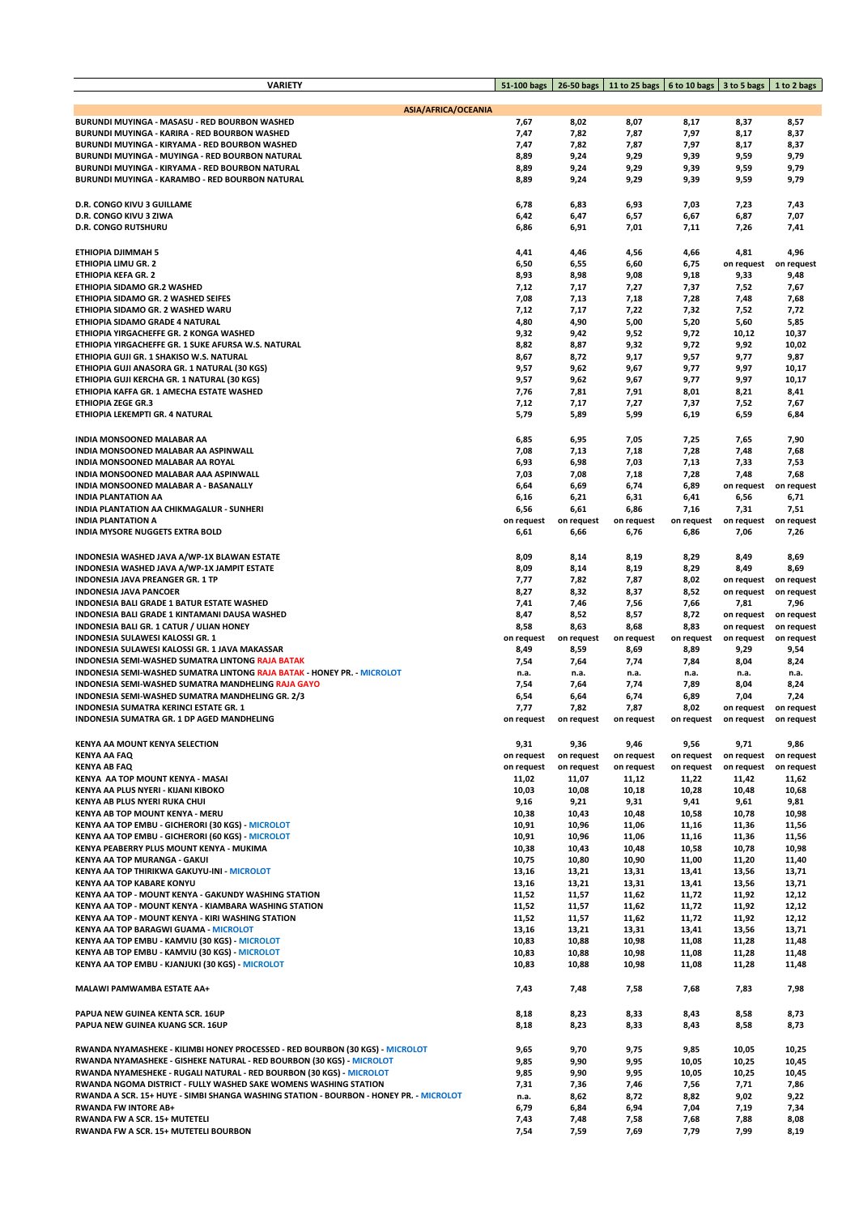| <b>VARIETY</b>                                                                         | 51-100 bags         | 26-50 bags          | 11 to 25 bags   6 to 10 bags   3 to 5 bags   1 to 2 bags |                     |                     |                     |
|----------------------------------------------------------------------------------------|---------------------|---------------------|----------------------------------------------------------|---------------------|---------------------|---------------------|
|                                                                                        |                     |                     |                                                          |                     |                     |                     |
| <b>ASIA/AFRICA/OCEANIA</b>                                                             |                     |                     |                                                          |                     |                     |                     |
| BURUNDI MUYINGA - MASASU - RED BOURBON WASHED                                          | 7,67                | 8,02                | 8,07                                                     | 8,17                | 8,37                | 8,57                |
| BURUNDI MUYINGA - KARIRA - RED BOURBON WASHED                                          | 7,47                | 7,82                | 7,87                                                     | 7,97                | 8,17                | 8,37                |
| BURUNDI MUYINGA - KIRYAMA - RED BOURBON WASHED                                         | 7,47                | 7,82                | 7,87                                                     | 7,97                | 8,17                | 8,37                |
| BURUNDI MUYINGA - MUYINGA - RED BOURBON NATURAL                                        | 8,89                | 9,24                | 9,29                                                     | 9,39                | 9,59                | 9,79                |
| BURUNDI MUYINGA - KIRYAMA - RED BOURBON NATURAL                                        | 8,89                | 9,24                | 9,29                                                     | 9,39                | 9,59                | 9,79                |
| BURUNDI MUYINGA - KARAMBO - RED BOURBON NATURAL                                        | 8,89                | 9,24                | 9,29                                                     | 9,39                | 9,59                | 9,79                |
|                                                                                        |                     |                     |                                                          |                     |                     |                     |
| <b>D.R. CONGO KIVU 3 GUILLAME</b>                                                      | 6,78                | 6,83                | 6,93                                                     | 7,03                | 7,23                | 7,43                |
| D.R. CONGO KIVU 3 ZIWA                                                                 | 6,42                | 6,47                | 6,57                                                     | 6,67                | 6,87                | 7,07                |
| <b>D.R. CONGO RUTSHURU</b>                                                             | 6,86                | 6,91                | 7,01                                                     | 7,11                | 7,26                | 7,41                |
|                                                                                        |                     |                     |                                                          |                     |                     |                     |
| ETHIOPIA DJIMMAH 5<br>ETHIOPIA LIMU GR. 2                                              | 4,41<br>6,50        | 4,46<br>6,55        | 4,56<br>6,60                                             | 4,66<br>6,75        | 4,81<br>on request  | 4,96<br>on request  |
| ETHIOPIA KEFA GR. 2                                                                    | 8,93                | 8,98                | 9,08                                                     | 9,18                | 9,33                | 9,48                |
| ETHIOPIA SIDAMO GR.2 WASHED                                                            | 7,12                | 7,17                | 7,27                                                     | 7,37                | 7,52                | 7,67                |
| ETHIOPIA SIDAMO GR. 2 WASHED SEIFES                                                    | 7,08                | 7,13                | 7,18                                                     | 7,28                | 7,48                | 7,68                |
| ETHIOPIA SIDAMO GR. 2 WASHED WARU                                                      | 7,12                | 7,17                | 7,22                                                     | 7,32                | 7,52                | 7,72                |
| ETHIOPIA SIDAMO GRADE 4 NATURAL                                                        | 4,80                | 4,90                | 5,00                                                     | 5,20                | 5,60                | 5,85                |
| ETHIOPIA YIRGACHEFFE GR. 2 KONGA WASHED                                                | 9,32                | 9,42                | 9,52                                                     | 9,72                | 10,12               | 10,37               |
| ETHIOPIA YIRGACHEFFE GR. 1 SUKE AFURSA W.S. NATURAL                                    | 8,82                | 8,87                | 9,32                                                     | 9,72                | 9,92                | 10,02               |
| ETHIOPIA GUJI GR. 1 SHAKISO W.S. NATURAL                                               | 8,67                | 8,72                | 9,17                                                     | 9,57                | 9,77                | 9,87                |
| ETHIOPIA GUJI ANASORA GR. 1 NATURAL (30 KGS)                                           | 9,57                | 9,62                | 9,67                                                     | 9,77                | 9,97                | 10,17               |
| ETHIOPIA GUJI KERCHA GR. 1 NATURAL (30 KGS)                                            | 9,57                | 9,62                | 9,67                                                     | 9,77                | 9,97                | 10,17               |
| ETHIOPIA KAFFA GR. 1 AMECHA ESTATE WASHED                                              | 7,76                | 7,81                | 7,91                                                     | 8,01                | 8,21                | 8,41                |
| <b>ETHIOPIA ZEGE GR.3</b>                                                              | 7,12                | 7,17                | 7,27                                                     | 7,37                | 7,52                | 7,67                |
| ETHIOPIA LEKEMPTI GR. 4 NATURAL                                                        | 5,79                | 5,89                | 5,99                                                     | 6,19                | 6,59                | 6,84                |
|                                                                                        |                     |                     |                                                          |                     |                     |                     |
| INDIA MONSOONED MALABAR AA                                                             | 6,85                | 6,95                | 7,05                                                     | 7,25                | 7,65                | 7,90                |
| INDIA MONSOONED MALABAR AA ASPINWALL                                                   | 7,08                | 7,13                | 7,18                                                     | 7,28                | 7,48                | 7,68                |
| INDIA MONSOONED MALABAR AA ROYAL                                                       | 6,93                | 6,98                | 7,03                                                     | 7,13                | 7,33                | 7,53                |
| INDIA MONSOONED MALABAR AAA ASPINWALL                                                  | 7,03                | 7,08                | 7,18                                                     | 7,28                | 7,48                | 7,68                |
| INDIA MONSOONED MALABAR A - BASANALLY                                                  | 6,64                | 6,69                | 6,74                                                     | 6,89                | on request          | on request          |
| <b>INDIA PLANTATION AA</b>                                                             | 6,16                | 6,21                | 6,31                                                     | 6,41                | 6,56                | 6,71                |
| INDIA PLANTATION AA CHIKMAGALUR - SUNHERI                                              | 6,56                | 6,61                | 6,86                                                     | 7,16                | 7,31                | 7,51                |
| <b>INDIA PLANTATION A</b>                                                              | on request          | on request          | on request                                               | on request          | on request          | on request          |
| INDIA MYSORE NUGGETS EXTRA BOLD                                                        | 6,61                | 6,66                | 6,76                                                     | 6,86                | 7,06                | 7,26                |
| INDONESIA WASHED JAVA A/WP-1X BLAWAN ESTATE                                            | 8,09                | 8,14                | 8,19                                                     | 8,29                | 8,49                | 8,69                |
| INDONESIA WASHED JAVA A/WP-1X JAMPIT ESTATE                                            | 8,09                | 8,14                | 8,19                                                     | 8,29                | 8,49                | 8,69                |
| INDONESIA JAVA PREANGER GR. 1 TP                                                       | 7,77                | 7,82                | 7,87                                                     | 8,02                | on request          | on request          |
| <b>INDONESIA JAVA PANCOER</b>                                                          | 8,27                | 8,32                | 8,37                                                     | 8,52                | on request          | on request          |
| INDONESIA BALI GRADE 1 BATUR ESTATE WASHED                                             | 7,41                | 7,46                | 7,56                                                     | 7,66                | 7,81                | 7,96                |
| INDONESIA BALI GRADE 1 KINTAMANI DAUSA WASHED                                          | 8,47                | 8,52                | 8,57                                                     | 8,72                | on request          | on request          |
| <b>INDONESIA BALI GR. 1 CATUR / ULIAN HONEY</b>                                        | 8,58                | 8,63                | 8,68                                                     | 8,83                | on request          | on request          |
| INDONESIA SULAWESI KALOSSI GR. 1                                                       | on request          | on request          | on request                                               | on request          | on request          | on request          |
| INDONESIA SULAWESI KALOSSI GR. 1 JAVA MAKASSAR                                         | 8,49                | 8,59                | 8,69                                                     | 8,89                | 9,29                | 9,54                |
| <b>INDONESIA SEMI-WASHED SUMATRA LINTONG RAJA BATAK</b>                                | 7,54                | 7,64                | 7,74                                                     | 7,84                | 8,04                | 8,24                |
| INDONESIA SEMI-WASHED SUMATRA LINTONG RAJA BATAK - HONEY PR. - MICROLOT                | n.a.                | n.a.                | n.a.                                                     | n.a.                | n.a.                | n.a.                |
| INDONESIA SEMI-WASHED SUMATRA MANDHELING RAJA GAYO                                     | 7,54                | 7,64                | 7,74                                                     | 7,89                | 8,04                | 8,24                |
| INDONESIA SEMI-WASHED SUMATRA MANDHELING GR. 2/3                                       | 6,54                | 6,64                | 6,74                                                     | 6,89                | 7,04                | 7,24                |
| INDONESIA SUMATRA KERINCI ESTATE GR. 1                                                 | 7,77                | 7,82                | 7,87                                                     | 8,02                | on request          | on request          |
| INDONESIA SUMATRA GR. 1 DP AGED MANDHELING                                             | on request          | on request          | on request                                               | on request          | on request          | on request          |
|                                                                                        |                     |                     |                                                          |                     |                     |                     |
| KENYA AA MOUNT KENYA SELECTION                                                         | 9,31                | 9,36                | 9,46                                                     | 9,56                | 9,71                | 9,86                |
| <b>KENYA AA FAQ</b>                                                                    | on request          | on request          | on request                                               | on request          | on request          | on request          |
| <b>KENYA AB FAQ</b><br>KENYA AA TOP MOUNT KENYA - MASAI                                | on request<br>11,02 | on request<br>11,07 | on request<br>11,12                                      | on request<br>11,22 | on request<br>11,42 | on request<br>11,62 |
| KENYA AA PLUS NYERI - KIJANI KIBOKO                                                    | 10,03               | 10,08               | 10,18                                                    | 10,28               | 10,48               | 10,68               |
| KENYA AB PLUS NYERI RUKA CHUI                                                          | 9,16                | 9,21                | 9,31                                                     | 9,41                | 9,61                | 9,81                |
| <b>KENYA AB TOP MOUNT KENYA - MERU</b>                                                 | 10,38               | 10,43               | 10,48                                                    | 10,58               | 10,78               | 10,98               |
| KENYA AA TOP EMBU - GICHERORI (30 KGS) - MICROLOT                                      | 10,91               | 10,96               | 11,06                                                    | 11,16               | 11,36               | 11,56               |
| KENYA AA TOP EMBU - GICHERORI (60 KGS) - MICROLOT                                      | 10,91               | 10,96               | 11,06                                                    | 11,16               | 11,36               | 11,56               |
| KENYA PEABERRY PLUS MOUNT KENYA - MUKIMA                                               | 10,38               | 10,43               | 10,48                                                    | 10,58               | 10,78               | 10,98               |
| KENYA AA TOP MURANGA - GAKUI                                                           | 10,75               | 10,80               | 10,90                                                    | 11,00               | 11,20               | 11,40               |
| KENYA AA TOP THIRIKWA GAKUYU-INI - MICROLOT                                            | 13,16               | 13,21               | 13,31                                                    | 13,41               | 13,56               | 13,71               |
| KENYA AA TOP KABARE KONYU                                                              | 13,16               | 13,21               | 13,31                                                    | 13,41               | 13,56               | 13,71               |
| KENYA AA TOP - MOUNT KENYA - GAKUNDY WASHING STATION                                   | 11,52               | 11,57               | 11,62                                                    | 11,72               | 11,92               | 12,12               |
| KENYA AA TOP - MOUNT KENYA - KIAMBARA WASHING STATION                                  | 11,52               | 11,57               | 11,62                                                    | 11,72               | 11,92               | 12,12               |
| KENYA AA TOP - MOUNT KENYA - KIRI WASHING STATION                                      | 11,52               | 11,57               | 11,62                                                    | 11,72               | 11,92               | 12,12               |
| <b>KENYA AA TOP BARAGWI GUAMA - MICROLOT</b>                                           | 13,16               | 13,21               | 13,31                                                    | 13,41               | 13,56               | 13,71               |
| KENYA AA TOP EMBU - KAMVIU (30 KGS) - MICROLOT                                         | 10,83               | 10,88               | 10,98                                                    | 11,08               | 11,28               | 11,48               |
| KENYA AB TOP EMBU - KAMVIU (30 KGS) - MICROLOT                                         | 10,83               | 10,88               | 10,98                                                    | 11,08               | 11,28               | 11,48               |
| KENYA AA TOP EMBU - KJANJUKI (30 KGS) - MICROLOT                                       | 10,83               | 10,88               | 10,98                                                    | 11,08               | 11,28               | 11,48               |
| MALAWI PAMWAMBA ESTATE AA+                                                             | 7,43                | 7,48                | 7,58                                                     | 7,68                | 7,83                | 7,98                |
|                                                                                        |                     |                     |                                                          |                     |                     |                     |
| PAPUA NEW GUINEA KENTA SCR. 16UP                                                       | 8,18                | 8,23                | 8,33                                                     | 8,43                | 8,58                | 8,73                |
| PAPUA NEW GUINEA KUANG SCR. 16UP                                                       | 8,18                | 8,23                | 8,33                                                     | 8,43                | 8,58                | 8,73                |
|                                                                                        |                     |                     |                                                          |                     |                     |                     |
| RWANDA NYAMASHEKE - KILIMBI HONEY PROCESSED - RED BOURBON (30 KGS) - MICROLOT          | 9,65                | 9,70                | 9,75                                                     | 9,85                | 10,05               | 10,25               |
| RWANDA NYAMASHEKE - GISHEKE NATURAL - RED BOURBON (30 KGS) - MICROLOT                  | 9,85                | 9,90                | 9,95                                                     | 10,05               | 10,25               | 10,45               |
| RWANDA NYAMESHEKE - RUGALI NATURAL - RED BOURBON (30 KGS) - MICROLOT                   | 9,85                | 9,90                | 9,95                                                     | 10,05               | 10,25               | 10,45               |
| RWANDA NGOMA DISTRICT - FULLY WASHED SAKE WOMENS WASHING STATION                       | 7,31                | 7,36                | 7,46                                                     | 7,56                | 7,71                | 7,86                |
| RWANDA A SCR. 15+ HUYE - SIMBI SHANGA WASHING STATION - BOURBON - HONEY PR. - MICROLOT | n.a.                | 8,62                | 8,72                                                     | 8,82                | 9,02                | 9,22                |
| <b>RWANDA FW INTORE AB+</b>                                                            | 6,79                | 6,84                | 6,94                                                     | 7,04                | 7,19                | 7,34                |
| RWANDA FW A SCR. 15+ MUTETELI                                                          | 7,43                | 7,48                | 7,58                                                     | 7,68                | 7,88                | 8,08                |
| RWANDA FW A SCR. 15+ MUTETELI BOURBON                                                  | 7,54                | 7,59                | 7,69                                                     | 7,79                | 7,99                | 8,19                |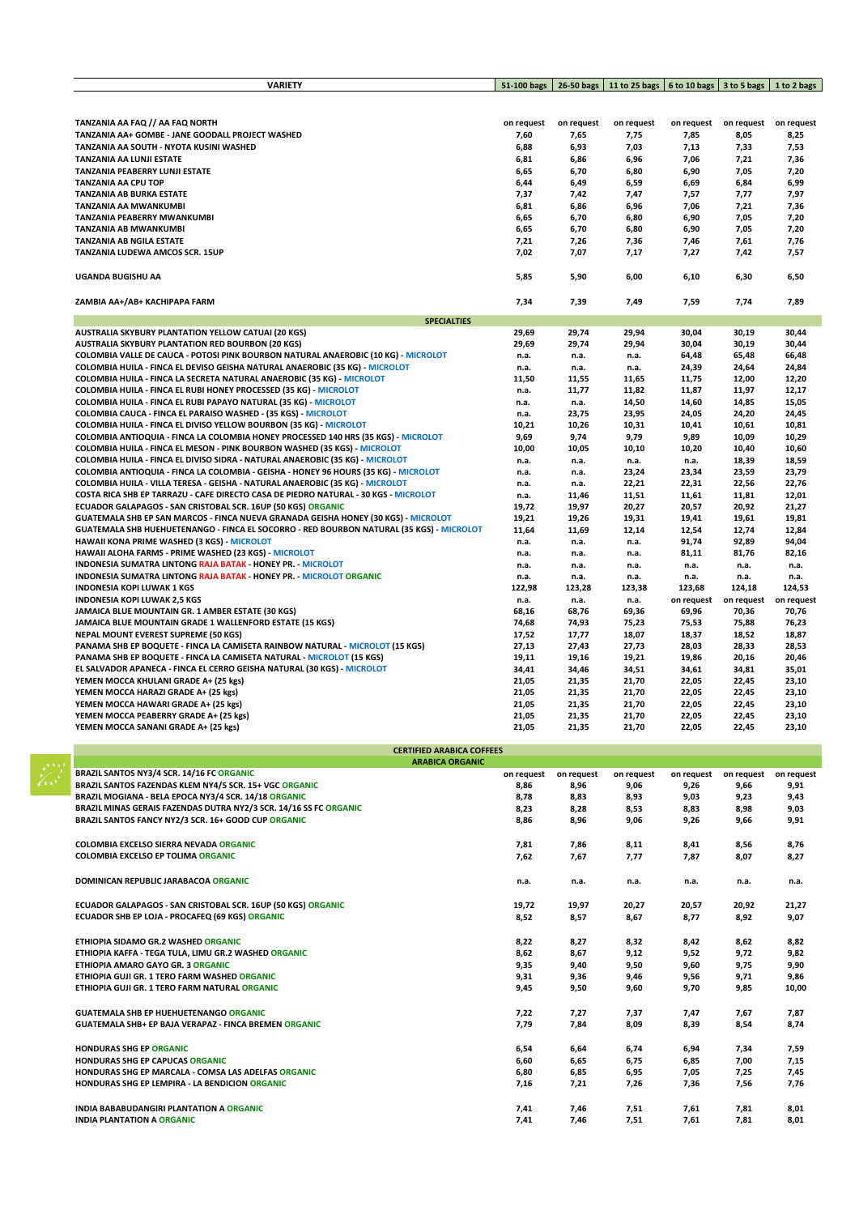| <b>VARIETY</b>                                                                           |              | 51-100 bags   26-50 bags   11 to 25 bags   6 to 10 bags   3 to 5 bags   1 to 2 bags |            |            |                |            |
|------------------------------------------------------------------------------------------|--------------|-------------------------------------------------------------------------------------|------------|------------|----------------|------------|
|                                                                                          |              |                                                                                     |            |            |                |            |
|                                                                                          |              |                                                                                     |            |            |                |            |
| TANZANIA AA FAQ // AA FAQ NORTH                                                          | on request   | on request                                                                          | on request | on request | on request     | on request |
| TANZANIA AA+ GOMBE - JANE GOODALL PROJECT WASHED                                         | 7,60         | 7,65                                                                                | 7,75       | 7,85       | 8,05           | 8,25       |
| TANZANIA AA SOUTH - NYOTA KUSINI WASHED                                                  | 6,88         | 6,93                                                                                | 7,03       | 7,13       | 7,33           | 7,53       |
| TANZANIA AA LUNJI ESTATE                                                                 | 6,81         | 6,86                                                                                | 6,96       | 7,06       | 7,21           | 7,36       |
| TANZANIA PEABERRY LUNJI ESTATE                                                           | 6,65         | 6,70                                                                                | 6,80       | 6,90       | 7,05           | 7,20       |
| <b>TANZANIA AA CPU TOP</b>                                                               | 6,44         | 6,49                                                                                | 6,59       | 6,69       | 6,84           | 6,99       |
| TANZANIA AB BURKA ESTATE                                                                 | 7,37         | 7,42                                                                                | 7,47       | 7,57       | 7,77           | 7,97       |
| TANZANIA AA MWANKUMBI                                                                    | 6,81         | 6,86                                                                                | 6,96       | 7,06       | 7,21           | 7,36       |
| TANZANIA PEABERRY MWANKUMBI                                                              | 6,65         | 6,70                                                                                | 6,80       | 6,90       | 7,05           | 7,20       |
| TANZANIA AB MWANKUMBI                                                                    | 6,65         |                                                                                     |            |            |                |            |
| TANZANIA AB NGILA ESTATE                                                                 |              | 6,70                                                                                | 6,80       | 6,90       | 7,05           | 7,20       |
|                                                                                          | 7,21<br>7,02 | 7,26                                                                                | 7,36       | 7,46       | 7,61           | 7,76       |
| TANZANIA LUDEWA AMCOS SCR. 15UP                                                          |              | 7,07                                                                                | 7,17       | 7,27       | 7,42           | 7,57       |
| UGANDA BUGISHU AA                                                                        | 5,85         | 5,90                                                                                | 6,00       | 6,10       | 6,30           | 6,50       |
| ZAMBIA AA+/AB+ KACHIPAPA FARM                                                            | 7,34         | 7,39                                                                                | 7,49       | 7,59       | 7,74           | 7,89       |
| <b>SPECIALTIES</b>                                                                       |              |                                                                                     |            |            |                |            |
| <b>AUSTRALIA SKYBURY PLANTATION YELLOW CATUAI (20 KGS)</b>                               | 29,69        | 29,74                                                                               | 29,94      | 30,04      | 30,19          | 30,44      |
| <b>AUSTRALIA SKYBURY PLANTATION RED BOURBON (20 KGS)</b>                                 | 29,69        | 29,74                                                                               | 29,94      | 30,04      | 30,19          | 30,44      |
| COLOMBIA VALLE DE CAUCA - POTOSI PINK BOURBON NATURAL ANAEROBIC (10 KG) - MICROLOT       | n.a.         | n.a.                                                                                | n.a.       | 64,48      | 65,48          | 66,48      |
| COLOMBIA HUILA - FINCA EL DEVISO GEISHA NATURAL ANAEROBIC (35 KG) - MICROLOT             | n.a.         | n.a.                                                                                | n.a.       | 24,39      | 24,64          | 24,84      |
| COLOMBIA HUILA - FINCA LA SECRETA NATURAL ANAEROBIC (35 KG) - MICROLOT                   | 11,50        | 11,55                                                                               | 11,65      | 11,75      | 12,00          | 12,20      |
| COLOMBIA HUILA - FINCA EL RUBI HONEY PROCESSED (35 KG) - MICROLOT                        | n.a.         | 11,77                                                                               | 11,82      | 11,87      | 11,97          | 12,17      |
| COLOMBIA HUILA - FINCA EL RUBI PAPAYO NATURAL (35 KG) - MICROLOT                         | n.a.         | n.a.                                                                                | 14,50      | 14,60      | 14,85          | 15,05      |
| COLOMBIA CAUCA - FINCA EL PARAISO WASHED - (35 KGS) - MICROLOT                           | n.a.         | 23,75                                                                               | 23,95      | 24,05      | 24,20          | 24,45      |
| COLOMBIA HUILA - FINCA EL DIVISO YELLOW BOURBON (35 KG) - MICROLOT                       | 10,21        | 10,26                                                                               | 10,31      | 10,41      | 10,61          | 10,81      |
| COLOMBIA ANTIOQUIA - FINCA LA COLOMBIA HONEY PROCESSED 140 HRS (35 KGS) - MICROLOT       | 9,69         | 9,74                                                                                | 9,79       | 9,89       | 10,09          | 10,29      |
| COLOMBIA HUILA - FINCA EL MESON - PINK BOURBON WASHED (35 KGS) - MICROLOT                | 10,00        | 10,05                                                                               | 10,10      | 10,20      | 10,40          | 10,60      |
| COLOMBIA HUILA - FINCA EL DIVISO SIDRA - NATURAL ANAEROBIC (35 KG) - MICROLOT            | n.a.         | n.a.                                                                                | n.a.       | n.a.       | 18,39          | 18,59      |
| COLOMBIA ANTIOQUIA - FINCA LA COLOMBIA - GEISHA - HONEY 96 HOURS (35 KG) - MICROLOT      | n.a.         | n.a.                                                                                | 23,24      | 23,34      | 23,59          | 23,79      |
| COLOMBIA HUILA - VILLA TERESA - GEISHA - NATURAL ANAEROBIC (35 KG) - MICROLOT            | n.a.         | n.a.                                                                                | 22,21      | 22,31      | 22,56          | 22,76      |
| COSTA RICA SHB EP TARRAZU - CAFE DIRECTO CASA DE PIEDRO NATURAL - 30 KGS - MICROLOT      | n.a.         | 11,46                                                                               | 11,51      | 11,61      | 11,81          | 12,01      |
| ECUADOR GALAPAGOS - SAN CRISTOBAL SCR. 16UP (50 KGS) ORGANIC                             | 19,72        | 19,97                                                                               | 20,27      | 20,57      | 20,92          | 21,27      |
| GUATEMALA SHB EP SAN MARCOS - FINCA NUEVA GRANADA GEISHA HONEY (30 KGS) - MICROLOT       | 19,21        |                                                                                     |            | 19,41      | 19,61          | 19,81      |
| GUATEMALA SHB HUEHUETENANGO - FINCA EL SOCORRO - RED BOURBON NATURAL (35 KGS) - MICROLOT | 11,64        | 19,26                                                                               | 19,31      | 12,54      |                |            |
|                                                                                          |              | 11,69                                                                               | 12,14      | 91,74      | 12,74<br>92,89 | 12,84      |
| HAWAII KONA PRIME WASHED (3 KGS) - MICROLOT                                              | n.a.         | n.a.                                                                                | n.a.       |            |                | 94,04      |
| HAWAII ALOHA FARMS - PRIME WASHED (23 KGS) - MICROLOT                                    | n.a.         | n.a.                                                                                | n.a.       | 81,11      | 81,76          | 82,16      |
| <b>INDONESIA SUMATRA LINTONG RAJA BATAK - HONEY PR. - MICROLOT</b>                       | n.a.         | n.a.                                                                                | n.a.       | n.a.       | n.a.           | n.a.       |
| <b>INDONESIA SUMATRA LINTONG RAJA BATAK - HONEY PR. - MICROLOT ORGANIC</b>               | n.a.         | n.a.                                                                                | n.a.       | n.a.       | n.a.           | n.a.       |
| <b>INDONESIA KOPI LUWAK 1 KGS</b>                                                        | 122,98       | 123,28                                                                              | 123,38     | 123,68     | 124,18         | 124,53     |
| <b>INDONESIA KOPI LUWAK 2,5 KGS</b>                                                      | n.a.         | n.a.                                                                                | n.a.       | on request | on request     | on request |
| JAMAICA BLUE MOUNTAIN GR. 1 AMBER ESTATE (30 KGS)                                        | 68,16        | 68,76                                                                               | 69,36      | 69,96      | 70,36          | 70,76      |
| JAMAICA BLUE MOUNTAIN GRADE 1 WALLENFORD ESTATE (15 KGS)                                 | 74,68        | 74,93                                                                               | 75,23      | 75,53      | 75,88          | 76,23      |
| <b>NEPAL MOUNT EVEREST SUPREME (50 KGS)</b>                                              | 17,52        | 17,77                                                                               | 18,07      | 18,37      | 18,52          | 18,87      |
| PANAMA SHB EP BOQUETE - FINCA LA CAMISETA RAINBOW NATURAL - MICROLOT (15 KGS)            | 27,13        | 27,43                                                                               | 27,73      | 28,03      | 28,33          | 28,53      |
| <b>PANAMA SHB EP BOQUETE - FINCA LA CAMISETA NATURAL - MICROLOT (15 KGS)</b>             | 19,11        | 19,16                                                                               | 19,21      | 19,86      | 20,16          | 20,46      |
| EL SALVADOR APANECA - FINCA EL CERRO GEISHA NATURAL (30 KGS) - MICROLOT                  | 34,41        | 34,46                                                                               | 34,51      | 34,61      | 34,81          | 35,01      |
| YEMEN MOCCA KHULANI GRADE A+ (25 kgs)                                                    | 21,05        | 21,35                                                                               | 21,70      | 22,05      | 22,45          | 23,10      |
| YEMEN MOCCA HARAZI GRADE A+ (25 kgs)                                                     | 21,05        | 21,35                                                                               | 21,70      | 22,05      | 22,45          | 23,10      |
| YEMEN MOCCA HAWARI GRADE A+ (25 kgs)                                                     | 21,05        | 21,35                                                                               | 21,70      | 22,05      | 22,45          | 23,10      |
| YEMEN MOCCA PEABERRY GRADE A+ (25 kgs)                                                   | 21,05        | 21,35                                                                               | 21,70      | 22,05      | 22,45          | 23,10      |
| YEMEN MOCCA SANANI GRADE A+ (25 kgs)                                                     | 21,05        | 21.35                                                                               | 21.70      | 22.05      | 22.45          | 23.10      |
| <b>CERTIFIED ARABICA COFFEES</b>                                                         |              |                                                                                     |            |            |                |            |
| <b>ARABICA ORGANIC</b>                                                                   |              |                                                                                     |            |            |                |            |
| BRAZIL SANTOS NY3/4 SCR. 14/16 FC ORGANIC                                                | on request   | on request                                                                          | on request | on request | on request     | on request |
| BRAZIL SANTOS FAZENDAS KLEM NY4/5 SCR. 15+ VGC ORGANIC                                   | 8,86         | 8,96                                                                                | 9,06       | 9,26       | 9,66           | 9,91       |
| BRAZIL MOGIANA - BELA EPOCA NY3/4 SCR. 14/18 ORGANIC                                     | 8,78         | 8,83                                                                                | 8,93       | 9,03       | 9,23           | 9,43       |
| BRAZIL MINAS GERAIS FAZENDAS DUTRA NY2/3 SCR. 14/16 SS FC ORGANIC                        | 8,23         | 8,28                                                                                | 8,53       | 8,83       | 8,98           | 9,03       |
| BRAZIL SANTOS FANCY NY2/3 SCR. 16+ GOOD CUP ORGANIC                                      | 8,86         | 8,96                                                                                | 9,06       | 9,26       | 9,66           | 9,91       |
|                                                                                          |              |                                                                                     |            |            |                |            |
| COLOMBIA EXCELSO SIERRA NEVADA ORGANIC                                                   | 7,81         | 7,86                                                                                | 8,11       | 8,41       | 8,56           | 8,76       |
| <b>COLOMBIA EXCELSO EP TOLIMA ORGANIC</b>                                                | 7,62         | 7,67                                                                                | 7,77       | 7,87       | 8,07           | 8,27       |
| <b>DOMINICAN REPUBLIC JARABACOA ORGANIC</b>                                              | n.a.         | n.a.                                                                                | n.a.       | n.a.       | n.a.           | n.a.       |
|                                                                                          |              |                                                                                     |            |            |                |            |
| ECUADOR GALAPAGOS - SAN CRISTOBAL SCR. 16UP (50 KGS) ORGANIC                             | 19,72        | 19,97                                                                               | 20,27      | 20,57      | 20,92          | 21,27      |
| ECUADOR SHB EP LOJA - PROCAFEQ (69 KGS) ORGANIC                                          | 8,52         | 8,57                                                                                | 8,67       | 8,77       | 8,92           | 9,07       |
|                                                                                          |              |                                                                                     |            |            |                |            |
| ETHIOPIA SIDAMO GR.2 WASHED ORGANIC                                                      | 8,22         | 8,27                                                                                | 8,32       | 8,42       | 8,62           | 8,82       |
| ETHIOPIA KAFFA - TEGA TULA, LIMU GR.2 WASHED ORGANIC                                     | 8,62         | 8,67                                                                                | 9,12       | 9,52       | 9,72           | 9,82       |
| ETHIOPIA AMARO GAYO GR. 3 ORGANIC                                                        | 9,35         | 9,40                                                                                | 9,50       | 9,60       | 9,75           | 9,90       |
| ETHIOPIA GUJI GR. 1 TERO FARM WASHED ORGANIC                                             | 9,31         | 9,36                                                                                | 9,46       | 9,56       | 9,71           | 9,86       |
| ETHIOPIA GUJI GR. 1 TERO FARM NATURAL ORGANIC                                            | 9,45         | 9,50                                                                                | 9,60       | 9,70       | 9,85           | 10,00      |
|                                                                                          |              |                                                                                     |            |            |                |            |
| <b>GUATEMALA SHB EP HUEHUETENANGO ORGANIC</b>                                            |              |                                                                                     |            |            |                |            |
|                                                                                          | 7,22         | 7,27                                                                                | 7,37       | 7,47       | 7,67           | 7,87       |
| <b>GUATEMALA SHB+ EP BAJA VERAPAZ - FINCA BREMEN ORGANIC</b>                             | 7,79         | 7,84                                                                                | 8,09       | 8,39       | 8,54           | 8,74       |
|                                                                                          |              |                                                                                     |            |            |                |            |
| <b>HONDURAS SHG EP ORGANIC</b>                                                           | 6,54         | 6,64                                                                                | 6,74       | 6,94       | 7,34           | 7,59       |
| HONDURAS SHG EP CAPUCAS ORGANIC                                                          | 6,60         | 6,65                                                                                | 6,75       | 6,85       | 7,00           | 7,15       |
| HONDURAS SHG EP MARCALA - COMSA LAS ADELFAS ORGANIC                                      | 6,80         | 6,85                                                                                | 6,95       | 7,05       | 7,25           | 7,45       |
| HONDURAS SHG EP LEMPIRA - LA BENDICION ORGANIC                                           | 7,16         | 7,21                                                                                | 7,26       | 7,36       | 7,56           | 7,76       |
|                                                                                          |              |                                                                                     |            |            |                |            |
| INDIA BABABUDANGIRI PLANTATION A ORGANIC                                                 | 7,41         | 7,46                                                                                | 7,51       | 7,61       | 7,81           | 8,01       |
| <b>INDIA PLANTATION A ORGANIC</b>                                                        | 7,41         | 7,46                                                                                | 7,51       | 7,61       | 7,81           | 8,01       |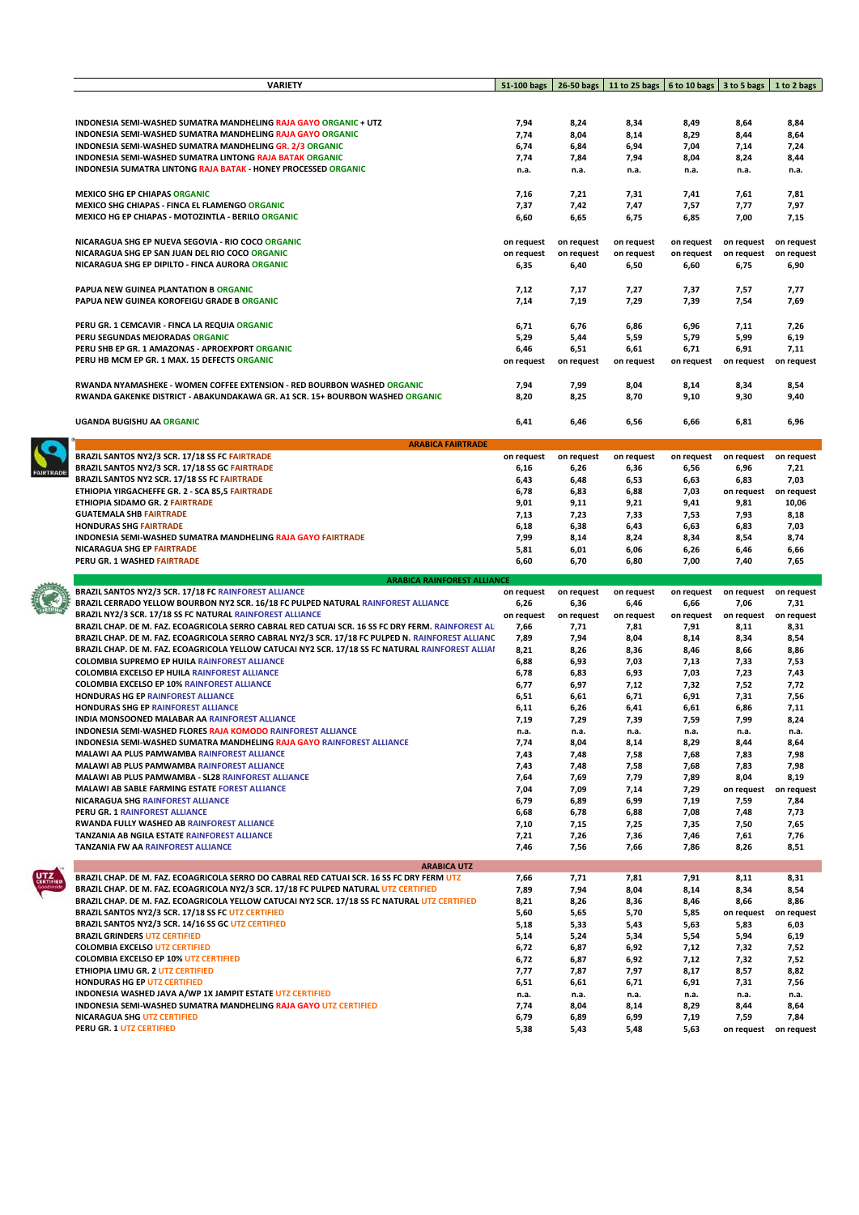| <b>VARIETY</b>                                                                                                                                                 | 51-100 bags              |                          | 26-50 bags   11 to 25 bags   6 to 10 bags   3 to 5 bags   1 to 2 bags |                          |                               |                          |
|----------------------------------------------------------------------------------------------------------------------------------------------------------------|--------------------------|--------------------------|-----------------------------------------------------------------------|--------------------------|-------------------------------|--------------------------|
|                                                                                                                                                                |                          |                          |                                                                       |                          |                               |                          |
|                                                                                                                                                                |                          |                          |                                                                       |                          |                               |                          |
| <b>INDONESIA SEMI-WASHED SUMATRA MANDHELING RAJA GAYO ORGANIC + UTZ</b>                                                                                        | 7,94                     | 8,24                     | 8,34                                                                  | 8,49                     | 8,64                          | 8,84                     |
| <b>INDONESIA SEMI-WASHED SUMATRA MANDHELING RAJA GAYO ORGANIC</b><br>INDONESIA SEMI-WASHED SUMATRA MANDHELING GR. 2/3 ORGANIC                                  | 7,74<br>6,74             | 8,04                     | 8,14                                                                  | 8,29<br>7,04             | 8,44<br>7,14                  | 8,64                     |
| <b>INDONESIA SEMI-WASHED SUMATRA LINTONG RAJA BATAK ORGANIC</b>                                                                                                | 7,74                     | 6,84<br>7,84             | 6,94<br>7,94                                                          | 8,04                     | 8,24                          | 7,24<br>8,44             |
| <b>INDONESIA SUMATRA LINTONG RAJA BATAK - HONEY PROCESSED ORGANIC</b>                                                                                          | n.a.                     | n.a.                     | n.a.                                                                  | n.a.                     | n.a.                          | n.a.                     |
|                                                                                                                                                                |                          |                          |                                                                       |                          |                               |                          |
| <b>MEXICO SHG EP CHIAPAS ORGANIC</b>                                                                                                                           | 7,16                     | 7,21                     | 7,31                                                                  | 7,41                     | 7,61                          | 7,81                     |
| <b>MEXICO SHG CHIAPAS - FINCA EL FLAMENGO ORGANIC</b>                                                                                                          | 7,37                     | 7,42                     | 7,47                                                                  | 7,57                     | 7,77                          | 7,97                     |
| MEXICO HG EP CHIAPAS - MOTOZINTLA - BERILO ORGANIC                                                                                                             | 6,60                     | 6,65                     | 6,75                                                                  | 6,85                     | 7,00                          | 7,15                     |
| NICARAGUA SHG EP NUEVA SEGOVIA - RIO COCO ORGANIC                                                                                                              |                          |                          |                                                                       |                          |                               |                          |
| NICARAGUA SHG EP SAN JUAN DEL RIO COCO ORGANIC                                                                                                                 | on request<br>on request | on request<br>on request | on request<br>on request                                              | on request<br>on request | on request<br>on request      | on request<br>on request |
| NICARAGUA SHG EP DIPILTO - FINCA AURORA ORGANIC                                                                                                                | 6,35                     | 6,40                     | 6,50                                                                  | 6,60                     | 6,75                          | 6,90                     |
|                                                                                                                                                                |                          |                          |                                                                       |                          |                               |                          |
| PAPUA NEW GUINEA PLANTATION B ORGANIC                                                                                                                          | 7,12                     | 7,17                     | 7,27                                                                  | 7,37                     | 7,57                          | 7,77                     |
| PAPUA NEW GUINEA KOROFEIGU GRADE B ORGANIC                                                                                                                     | 7,14                     | 7,19                     | 7,29                                                                  | 7,39                     | 7,54                          | 7,69                     |
|                                                                                                                                                                |                          |                          |                                                                       |                          |                               |                          |
| PERU GR. 1 CEMCAVIR - FINCA LA REQUIA ORGANIC                                                                                                                  | 6,71                     | 6,76                     | 6,86                                                                  | 6,96                     | 7,11                          | 7,26                     |
| PERU SEGUNDAS MEJORADAS ORGANIC                                                                                                                                | 5,29                     | 5,44                     | 5,59                                                                  | 5,79                     | 5,99                          | 6,19                     |
| PERU SHB EP GR. 1 AMAZONAS - APROEXPORT ORGANIC<br>PERU HB MCM EP GR. 1 MAX. 15 DEFECTS ORGANIC                                                                | 6,46<br>on request       | 6,51<br>on request       | 6,61<br>on request                                                    | 6,71                     | 6,91<br>on request on request | 7,11                     |
|                                                                                                                                                                |                          |                          |                                                                       | on request               |                               |                          |
| RWANDA NYAMASHEKE - WOMEN COFFEE EXTENSION - RED BOURBON WASHED ORGANIC                                                                                        | 7,94                     | 7,99                     | 8,04                                                                  | 8,14                     | 8,34                          | 8,54                     |
| RWANDA GAKENKE DISTRICT - ABAKUNDAKAWA GR. A1 SCR. 15+ BOURBON WASHED ORGANIC                                                                                  | 8,20                     | 8,25                     | 8,70                                                                  | 9,10                     | 9,30                          | 9,40                     |
|                                                                                                                                                                |                          |                          |                                                                       |                          |                               |                          |
| <b>UGANDA BUGISHU AA ORGANIC</b>                                                                                                                               | 6,41                     | 6,46                     | 6,56                                                                  | 6,66                     | 6,81                          | 6,96                     |
|                                                                                                                                                                |                          |                          |                                                                       |                          |                               |                          |
| <b>ARABICA FAIRTRADE</b>                                                                                                                                       |                          |                          |                                                                       |                          |                               |                          |
| BRAZIL SANTOS NY2/3 SCR. 17/18 SS FC FAIRTRADE<br>BRAZIL SANTOS NY2/3 SCR. 17/18 SS GC FAIRTRADE                                                               | on request               | on request               | on request                                                            | on request               | on request<br>6,96            | on request<br>7,21       |
| BRAZIL SANTOS NY2 SCR. 17/18 SS FC FAIRTRADE                                                                                                                   | 6,16<br>6,43             | 6,26<br>6,48             | 6,36<br>6,53                                                          | 6,56<br>6,63             | 6,83                          | 7,03                     |
| ETHIOPIA YIRGACHEFFE GR. 2 - SCA 85,5 FAIRTRADE                                                                                                                | 6,78                     | 6,83                     | 6,88                                                                  | 7,03                     |                               | on request on request    |
| ETHIOPIA SIDAMO GR. 2 FAIRTRADE                                                                                                                                | 9,01                     | 9,11                     | 9,21                                                                  | 9,41                     | 9,81                          | 10,06                    |
| <b>GUATEMALA SHB FAIRTRADE</b>                                                                                                                                 | 7,13                     | 7,23                     | 7,33                                                                  | 7,53                     | 7,93                          | 8,18                     |
| <b>HONDURAS SHG FAIRTRADE</b>                                                                                                                                  | 6,18                     | 6,38                     | 6,43                                                                  | 6,63                     | 6,83                          | 7,03                     |
| INDONESIA SEMI-WASHED SUMATRA MANDHELING RAJA GAYO FAIRTRADE                                                                                                   | 7,99                     | 8,14                     | 8,24                                                                  | 8,34                     | 8,54                          | 8,74                     |
| NICARAGUA SHG EP FAIRTRADE<br>PERU GR. 1 WASHED FAIRTRADE                                                                                                      | 5,81<br>6,60             | 6,01<br>6,70             | 6,06<br>6,80                                                          | 6,26<br>7,00             | 6,46                          | 6,66<br>7,65             |
|                                                                                                                                                                |                          |                          |                                                                       |                          |                               |                          |
|                                                                                                                                                                |                          |                          |                                                                       |                          | 7,40                          |                          |
| <b>ARABICA RAINFOREST ALLIANCE</b>                                                                                                                             |                          |                          |                                                                       |                          |                               |                          |
| BRAZIL SANTOS NY2/3 SCR. 17/18 FC RAINFOREST ALLIANCE                                                                                                          | on request               | on request               | on request                                                            | on request               | on request                    | on request               |
| BRAZIL CERRADO YELLOW BOURBON NY2 SCR. 16/18 FC PULPED NATURAL RAINFOREST ALLIANCE                                                                             | 6,26                     | 6,36                     | 6,46                                                                  | 6,66                     | 7,06                          | 7,31                     |
| BRAZIL NY2/3 SCR. 17/18 SS FC NATURAL RAINFOREST ALLIANCE<br>BRAZIL CHAP. DE M. FAZ. ECOAGRICOLA SERRO CABRAL RED CATUAI SCR. 16 SS FC DRY FERM. RAINFOREST AL | on request<br>7,66       | on request<br>7,71       | on request<br>7,81                                                    | on request<br>7,91       | on request<br>8,11            | on request<br>8,31       |
| BRAZIL CHAP. DE M. FAZ. ECOAGRICOLA SERRO CABRAL NY2/3 SCR. 17/18 FC PULPED N. RAINFOREST ALLIANC                                                              | 7,89                     | 7,94                     | 8,04                                                                  | 8,14                     | 8,34                          | 8,54                     |
| BRAZIL CHAP. DE M. FAZ. ECOAGRICOLA YELLOW CATUCAI NY2 SCR. 17/18 SS FC NATURAL RAINFOREST ALLIAI                                                              | 8,21                     | 8,26                     | 8,36                                                                  | 8,46                     | 8,66                          | 8,86                     |
| <b>COLOMBIA SUPREMO EP HUILA RAINFOREST ALLIANCE</b>                                                                                                           | 6,88                     | 6,93                     | 7,03                                                                  | 7,13                     | 7,33                          | 7,53                     |
| <b>COLOMBIA EXCELSO EP HUILA RAINFOREST ALLIANCE</b>                                                                                                           | 6,78                     | 6,83                     | 6,93                                                                  | 7,03                     | 7,23                          | 7,43                     |
| <b>COLOMBIA EXCELSO EP 10% RAINFOREST ALLIANCE</b>                                                                                                             | 6,77                     | 6,97                     | 7,12                                                                  | 7,32                     | 7,52                          | 7,72                     |
| HONDURAS HG EP RAINFOREST ALLIANCE<br><b>HONDURAS SHG EP RAINFOREST ALLIANCE</b>                                                                               | 6,51                     | 6,61                     | 6,71                                                                  | 6,91                     | 7,31                          | 7,56                     |
| INDIA MONSOONED MALABAR AA RAINFOREST ALLIANCE                                                                                                                 | 6,11<br>7,19             | 6,26<br>7,29             | 6,41<br>7,39                                                          | 6,61<br>7,59             | 6,86<br>7,99                  | 7,11<br>8,24             |
| <b>INDONESIA SEMI-WASHED FLORES RAJA KOMODO RAINFOREST ALLIANCE</b>                                                                                            | n.a.                     | n.a.                     | n.a.                                                                  | n.a.                     | n.a.                          | n.a.                     |
| INDONESIA SEMI-WASHED SUMATRA MANDHELING RAJA GAYO RAINFOREST ALLIANCE                                                                                         | 7,74                     | 8,04                     | 8,14                                                                  | 8,29                     | 8,44                          | 8,64                     |
| MALAWI AA PLUS PAMWAMBA RAINFOREST ALLIANCE                                                                                                                    | 7,43                     | 7,48                     | 7,58                                                                  | 7,68                     | 7,83                          | 7,98                     |
| <b>MALAWI AB PLUS PAMWAMBA RAINFOREST ALLIANCE</b>                                                                                                             | 7,43                     | 7,48                     | 7,58                                                                  | 7,68                     | 7,83                          | 7,98                     |
| MALAWI AB PLUS PAMWAMBA - SL28 RAINFOREST ALLIANCE                                                                                                             | 7,64                     | 7,69                     | 7,79                                                                  | 7,89                     | 8,04                          | 8,19                     |
| <b>MALAWI AB SABLE FARMING ESTATE FOREST ALLIANCE</b><br>NICARAGUA SHG RAINFOREST ALLIANCE                                                                     | 7,04<br>6,79             | 7,09<br>6,89             | 7,14<br>6,99                                                          | 7,29<br>7,19             | on request<br>7,59            | on request<br>7,84       |
| PERU GR. 1 RAINFOREST ALLIANCE                                                                                                                                 | 6,68                     | 6,78                     | 6,88                                                                  | 7,08                     | 7,48                          | 7,73                     |
| RWANDA FULLY WASHED AB RAINFOREST ALLIANCE                                                                                                                     | 7,10                     | 7,15                     | 7,25                                                                  | 7,35                     | 7,50                          | 7,65                     |
| <b>TANZANIA AB NGILA ESTATE RAINFOREST ALLIANCE</b>                                                                                                            | 7,21                     | 7,26                     | 7,36                                                                  | 7,46                     | 7,61                          | 7,76                     |
| <b>TANZANIA FW AA RAINFOREST ALLIANCE</b>                                                                                                                      | 7,46                     | 7,56                     | 7,66                                                                  | 7,86                     | 8,26                          | 8,51                     |
| <b>ARABICA UTZ</b>                                                                                                                                             |                          |                          |                                                                       |                          |                               |                          |
| BRAZIL CHAP. DE M. FAZ. ECOAGRICOLA SERRO DO CABRAL RED CATUAI SCR. 16 SS FC DRY FERM UTZ                                                                      | 7,66                     | 7,71                     | 7,81                                                                  | 7,91                     | 8,11                          | 8,31                     |
| BRAZIL CHAP. DE M. FAZ. ECOAGRICOLA NY2/3 SCR. 17/18 FC PULPED NATURAL UTZ CERTIFIED                                                                           | 7,89                     | 7,94                     | 8,04                                                                  | 8,14                     | 8,34                          | 8,54                     |
| BRAZIL CHAP. DE M. FAZ. ECOAGRICOLA YELLOW CATUCAI NY2 SCR. 17/18 SS FC NATURAL UTZ CERTIFIED                                                                  | 8,21                     | 8,26                     | 8,36                                                                  | 8,46                     | 8,66                          | 8,86                     |
| BRAZIL SANTOS NY2/3 SCR. 17/18 SS FC UTZ CERTIFIED                                                                                                             | 5,60                     | 5,65                     | 5,70                                                                  | 5,85                     | on request                    | on request               |
| BRAZIL SANTOS NY2/3 SCR. 14/16 SS GC UTZ CERTIFIED<br><b>BRAZIL GRINDERS UTZ CERTIFIED</b>                                                                     | 5,18<br>5,14             | 5,33<br>5,24             | 5,43<br>5,34                                                          | 5,63<br>5,54             | 5,83<br>5,94                  | 6,03<br>6,19             |
| <b>COLOMBIA EXCELSO UTZ CERTIFIED</b>                                                                                                                          | 6,72                     | 6,87                     | 6,92                                                                  | 7,12                     | 7,32                          | 7,52                     |
| <b>COLOMBIA EXCELSO EP 10% UTZ CERTIFIED</b>                                                                                                                   | 6,72                     | 6,87                     | 6,92                                                                  | 7,12                     | 7,32                          | 7,52                     |
| ETHIOPIA LIMU GR. 2 UTZ CERTIFIED                                                                                                                              | 7,77                     | 7,87                     | 7,97                                                                  | 8,17                     | 8,57                          | 8,82                     |
| HONDURAS HG EP UTZ CERTIFIED                                                                                                                                   | 6,51                     | 6,61                     | 6,71                                                                  | 6,91                     | 7,31                          | 7,56                     |
| INDONESIA WASHED JAVA A/WP 1X JAMPIT ESTATE UTZ CERTIFIED                                                                                                      | n.a.                     | n.a.                     | n.a.                                                                  | n.a.                     | n.a.                          | n.a.                     |
| INDONESIA SEMI-WASHED SUMATRA MANDHELING RAJA GAYO UTZ CERTIFIED<br><b>NICARAGUA SHG UTZ CERTIFIED</b>                                                         | 7,74<br>6,79             | 8,04<br>6,89             | 8,14<br>6,99                                                          | 8,29<br>7,19             | 8,44<br>7,59                  | 8,64<br>7,84             |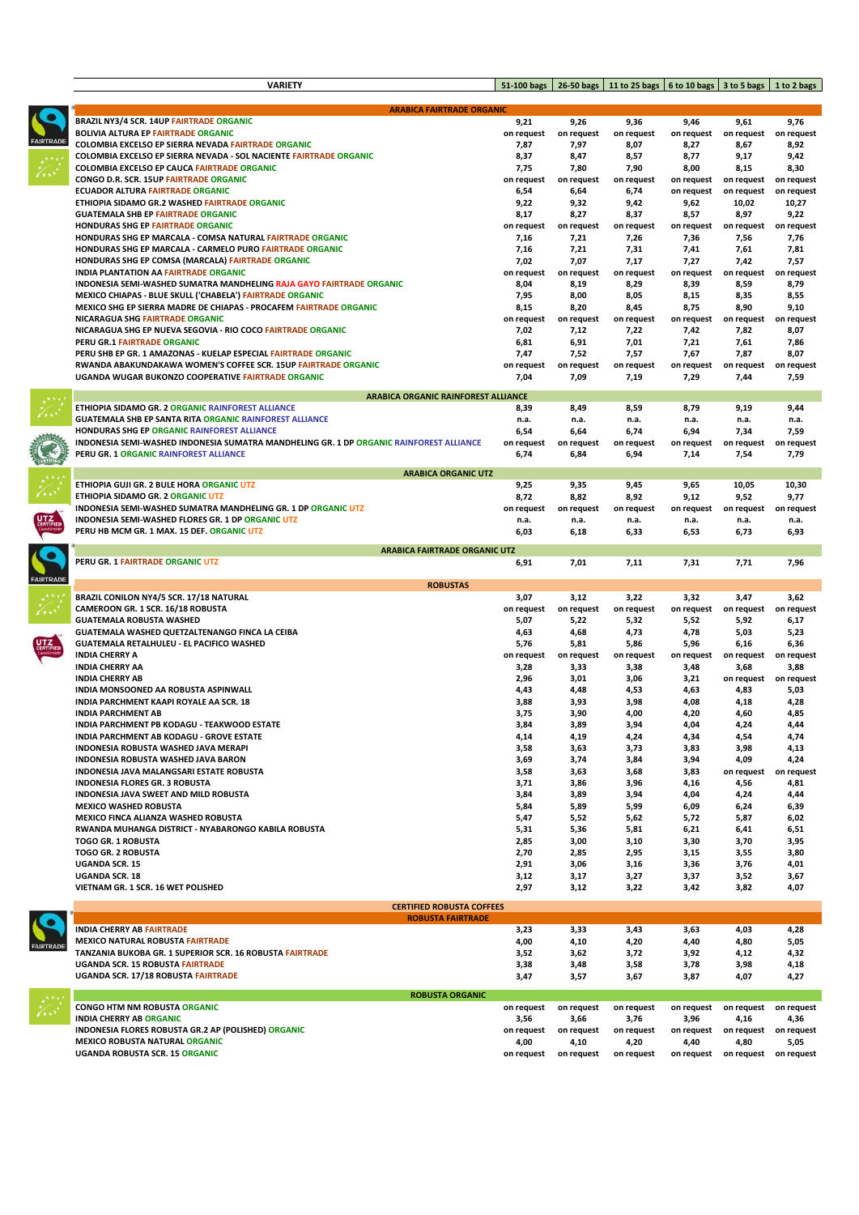|                 | <b>VARIETY</b>                                                                                  | 51-100 bags        |                    | 26-50 bags   11 to 25 bags   6 to 10 bags   3 to 5 bags   1 to 2 bags |                    |                               |                    |
|-----------------|-------------------------------------------------------------------------------------------------|--------------------|--------------------|-----------------------------------------------------------------------|--------------------|-------------------------------|--------------------|
|                 |                                                                                                 |                    |                    |                                                                       |                    |                               |                    |
|                 | <b>ARABICA FAIRTRADE ORGANIC</b>                                                                |                    |                    |                                                                       |                    |                               |                    |
|                 | <b>BRAZIL NY3/4 SCR. 14UP FAIRTRADE ORGANIC</b>                                                 | 9,21               | 9,26               | 9,36                                                                  | 9,46               | 9,61                          | 9,76               |
| <b>AIRTRADE</b> | <b>BOLIVIA ALTURA EP FAIRTRADE ORGANIC</b>                                                      | on request         | on request         | on request                                                            | on request         | on request                    | on request         |
|                 | COLOMBIA EXCELSO EP SIERRA NEVADA FAIRTRADE ORGANIC                                             | 7,87               | 7,97               | 8,07                                                                  | 8,27               | 8,67                          | 8,92               |
|                 | COLOMBIA EXCELSO EP SIERRA NEVADA - SOL NACIENTE FAIRTRADE ORGANIC                              | 8,37               | 8,47               | 8,57                                                                  | 8,77               | 9,17                          | 9,42               |
|                 | <b>COLOMBIA EXCELSO EP CAUCA FAIRTRADE ORGANIC</b>                                              | 7,75               | 7,80               | 7,90                                                                  | 8,00               | 8,15                          | 8,30               |
|                 | CONGO D.R. SCR. 15UP FAIRTRADE ORGANIC                                                          | on request         | on request         | on request                                                            | on request         | on request                    | on request         |
|                 | <b>ECUADOR ALTURA FAIRTRADE ORGANIC</b>                                                         | 6,54               | 6,64               | 6,74                                                                  | on request         | on request                    | on request         |
|                 | ETHIOPIA SIDAMO GR.2 WASHED FAIRTRADE ORGANIC                                                   | 9,22               | 9,32               | 9,42                                                                  | 9,62               | 10,02                         | 10,27              |
|                 | <b>GUATEMALA SHB EP FAIRTRADE ORGANIC</b><br>HONDURAS SHG EP FAIRTRADE ORGANIC                  | 8,17               | 8,27               | 8,37                                                                  | 8,57               | 8,97                          | 9,22               |
|                 | HONDURAS SHG EP MARCALA - COMSA NATURAL FAIRTRADE ORGANIC                                       | on request<br>7,16 | on request<br>7,21 | on request<br>7,26                                                    | 7,36               | on request on request<br>7,56 | on request<br>7,76 |
|                 | HONDURAS SHG EP MARCALA - CARMELO PURO FAIRTRADE ORGANIC                                        | 7,16               | 7,21               | 7,31                                                                  | 7,41               | 7,61                          | 7,81               |
|                 | HONDURAS SHG EP COMSA (MARCALA) FAIRTRADE ORGANIC                                               | 7,02               | 7,07               | 7,17                                                                  | 7,27               | 7,42                          | 7,57               |
|                 | <b>INDIA PLANTATION AA FAIRTRADE ORGANIC</b>                                                    | on request         | on request         | on request                                                            | on request         | on request                    | on request         |
|                 | INDONESIA SEMI-WASHED SUMATRA MANDHELING RAJA GAYO FAIRTRADE ORGANIC                            | 8,04               | 8,19               | 8,29                                                                  | 8,39               | 8,59                          | 8,79               |
|                 | MEXICO CHIAPAS - BLUE SKULL ('CHABELA') FAIRTRADE ORGANIC                                       | 7,95               | 8,00               | 8,05                                                                  | 8,15               | 8,35                          | 8,55               |
|                 | MEXICO SHG EP SIERRA MADRE DE CHIAPAS - PROCAFEM FAIRTRADE ORGANIC                              | 8,15               | 8,20               | 8,45                                                                  | 8,75               | 8,90                          | 9,10               |
|                 | <b>NICARAGUA SHG FAIRTRADE ORGANIC</b>                                                          | on request         | on request         | on request                                                            | on request         | on request                    | on request         |
|                 | NICARAGUA SHG EP NUEVA SEGOVIA - RIO COCO FAIRTRADE ORGANIC                                     | 7,02               | 7,12               | 7,22                                                                  | 7,42               | 7,82                          | 8,07               |
|                 | PERU GR.1 FAIRTRADE ORGANIC                                                                     | 6,81               | 6,91               | 7,01                                                                  | 7,21               | 7,61                          | 7,86               |
|                 | PERU SHB EP GR. 1 AMAZONAS - KUELAP ESPECIAL FAIRTRADE ORGANIC                                  | 7,47               | 7,52               | 7,57                                                                  | 7,67               | 7,87                          | 8,07               |
|                 | RWANDA ABAKUNDAKAWA WOMEN'S COFFEE SCR. 15UP FAIRTRADE ORGANIC                                  | on request         | on request         | on request                                                            | on request         | on request                    | on request         |
|                 | UGANDA WUGAR BUKONZO COOPERATIVE FAIRTRADE ORGANIC                                              | 7,04               | 7,09               | 7,19                                                                  | 7,29               | 7,44                          | 7,59               |
|                 |                                                                                                 |                    |                    |                                                                       |                    |                               |                    |
|                 | <b>ARABICA ORGANIC RAINFOREST ALLIANCE</b><br>ETHIOPIA SIDAMO GR. 2 ORGANIC RAINFOREST ALLIANCE | 8,39               | 8,49               | 8,59                                                                  | 8,79               | 9,19                          | 9,44               |
|                 | <b>GUATEMALA SHB EP SANTA RITA ORGANIC RAINFOREST ALLIANCE</b>                                  | n.a.               | n.a.               | n.a.                                                                  | n.a.               | n.a.                          | n.a.               |
|                 | HONDURAS SHG EP ORGANIC RAINFOREST ALLIANCE                                                     | 6,54               | 6,64               | 6,74                                                                  | 6,94               | 7,34                          | 7,59               |
|                 | INDONESIA SEMI-WASHED INDONESIA SUMATRA MANDHELING GR. 1 DP ORGANIC RAINFOREST ALLIANCE         | on request         | on request         | on request                                                            | on request         | on request                    | on request         |
|                 | PERU GR. 1 ORGANIC RAINFOREST ALLIANCE                                                          | 6,74               | 6,84               | 6,94                                                                  | 7,14               | 7,54                          | 7,79               |
|                 |                                                                                                 |                    |                    |                                                                       |                    |                               |                    |
|                 | <b>ARABICA ORGANIC UTZ</b>                                                                      |                    |                    |                                                                       |                    |                               |                    |
|                 | ETHIOPIA GUJI GR. 2 BULE HORA ORGANIC UTZ                                                       | 9,25               | 9,35               | 9,45                                                                  | 9,65               | 10,05                         | 10,30              |
|                 | ETHIOPIA SIDAMO GR. 2 ORGANIC UTZ                                                               | 8,72               | 8,82               | 8,92                                                                  | 9,12               | 9,52                          | 9,77               |
|                 | INDONESIA SEMI-WASHED SUMATRA MANDHELING GR. 1 DP ORGANIC UTZ                                   | on request         | on request         | on request                                                            | on request         | on request                    | on request         |
|                 | INDONESIA SEMI-WASHED FLORES GR. 1 DP ORGANIC UTZ                                               | n.a.               | n.a.               | n.a.                                                                  | n.a.               | n.a.                          | n.a.               |
|                 | PERU HB MCM GR. 1 MAX. 15 DEF. ORGANIC UTZ                                                      | 6,03               | 6,18               | 6,33                                                                  | 6,53               | 6,73                          | 6,93               |
|                 | <b>ARABICA FAIRTRADE ORGANIC UTZ</b>                                                            |                    |                    |                                                                       |                    |                               |                    |
|                 | PERU GR. 1 FAIRTRADE ORGANIC UTZ                                                                | 6,91               | 7,01               | 7,11                                                                  | 7,31               | 7,71                          | 7,96               |
| <b>AIRTRADE</b> |                                                                                                 |                    |                    |                                                                       |                    |                               |                    |
|                 | <b>ROBUSTAS</b><br>BRAZIL CONILON NY4/5 SCR. 17/18 NATURAL                                      | 3,07               | 3,12               | 3,22                                                                  | 3,32               | 3,47                          | 3,62               |
|                 | CAMEROON GR. 1 SCR. 16/18 ROBUSTA                                                               | on request         | on request         | on request                                                            | on request         | on request                    | on request         |
|                 | <b>GUATEMALA ROBUSTA WASHED</b>                                                                 | 5,07               | 5,22               | 5,32                                                                  | 5,52               | 5,92                          | 6,17               |
|                 | GUATEMALA WASHED QUETZALTENANGO FINCA LA CEIBA                                                  | 4,63               | 4,68               | 4,73                                                                  | 4,78               | 5,03                          | 5,23               |
|                 | GUATEMALA RETALHULEU - EL PACIFICO WASHED                                                       | 5,76               | 5,81               | 5,86                                                                  | 5,96               | 6,16                          | 6,36               |
|                 | <b>INDIA CHERRY A</b>                                                                           | on request         | on request         | on request                                                            | on request         | on request                    | on request         |
|                 | <b>INDIA CHERRY AA</b>                                                                          | 3,28               | 3,33               | 3,38                                                                  | 3,48               | 3,68                          | 3,88               |
|                 | <b>INDIA CHERRY AB</b>                                                                          | 2,96               | 3,01               | 3,06                                                                  | 3,21               | on request                    | on request         |
|                 | INDIA MONSOONED AA ROBUSTA ASPINWALL                                                            | 4,43               | 4,48               | 4,53                                                                  | 4,63               | 4,83                          | 5,03               |
|                 | INDIA PARCHMENT KAAPI ROYALE AA SCR. 18                                                         | 3,88               | 3,93               | 3,98                                                                  | 4,08               | 4,18                          | 4,28               |
|                 | <b>INDIA PARCHMENT AB</b>                                                                       | 3,75               | 3,90               | 4,00                                                                  | 4,20               | 4,60                          | 4,85               |
|                 | INDIA PARCHMENT PB KODAGU - TEAKWOOD ESTATE                                                     | 3,84               | 3,89               | 3,94                                                                  | 4,04               | 4,24                          | 4,44               |
|                 | INDIA PARCHMENT AB KODAGU - GROVE ESTATE                                                        | 4,14               | 4,19               | 4,24                                                                  | 4,34               | 4,54                          | 4,74               |
|                 | INDONESIA ROBUSTA WASHED JAVA MERAPI                                                            | 3,58               | 3,63               | 3,73                                                                  | 3,83               | 3,98                          | 4,13               |
|                 | INDONESIA ROBUSTA WASHED JAVA BARON                                                             | 3,69               | 3,74               | 3,84                                                                  | 3,94               | 4,09                          | 4,24               |
|                 | INDONESIA JAVA MALANGSARI ESTATE ROBUSTA                                                        | 3,58               | 3,63               | 3,68                                                                  | 3,83               | on request                    | on request         |
|                 | INDONESIA FLORES GR. 3 ROBUSTA                                                                  | 3,71               | 3,86               | 3,96                                                                  | 4,16               | 4,56                          | 4,81               |
|                 | INDONESIA JAVA SWEET AND MILD ROBUSTA                                                           | 3,84               | 3,89               | 3,94                                                                  | 4,04               | 4,24                          | 4,44               |
|                 | <b>MEXICO WASHED ROBUSTA</b>                                                                    | 5,84               | 5,89               | 5,99                                                                  | 6,09               | 6,24                          | 6,39               |
|                 | MEXICO FINCA ALIANZA WASHED ROBUSTA                                                             | 5,47               | 5,52               | 5,62                                                                  | 5,72               | 5,87                          | 6,02               |
|                 | RWANDA MUHANGA DISTRICT - NYABARONGO KABILA ROBUSTA                                             | 5,31               | 5,36               | 5,81                                                                  | 6,21               | 6,41                          | 6,51               |
|                 | <b>TOGO GR. 1 ROBUSTA</b>                                                                       | 2,85               | 3,00               | 3,10                                                                  | 3,30               | 3,70                          | 3,95               |
|                 | <b>TOGO GR. 2 ROBUSTA</b>                                                                       | 2,70               | 2,85               | 2,95                                                                  | 3,15               | 3,55                          | 3,80               |
|                 | <b>UGANDA SCR. 15</b>                                                                           | 2,91               | 3,06               | 3,16                                                                  | 3,36               | 3,76                          | 4,01               |
|                 |                                                                                                 |                    |                    |                                                                       |                    |                               | 3,67               |
|                 | <b>UGANDA SCR. 18</b>                                                                           | 3,12               | 3,17               | 3,27                                                                  | 3,37               | 3,52                          |                    |
|                 | VIETNAM GR. 1 SCR. 16 WET POLISHED                                                              | 2,97               | 3,12               | 3,22                                                                  | 3,42               | 3,82                          | 4,07               |
|                 | <b>CERTIFIED ROBUSTA COFFEES</b>                                                                |                    |                    |                                                                       |                    |                               |                    |
|                 | <b>ROBUSTA FAIRTRADE</b>                                                                        |                    |                    |                                                                       |                    |                               |                    |
|                 | <b>INDIA CHERRY AB FAIRTRADE</b>                                                                | 3,23               | 3,33               | 3,43                                                                  | 3,63               | 4,03                          | 4,28               |
|                 | <b>MEXICO NATURAL ROBUSTA FAIRTRADE</b>                                                         | 4,00               | 4,10               | 4,20                                                                  | 4,40               | 4,80                          | 5,05               |
|                 | TANZANIA BUKOBA GR. 1 SUPERIOR SCR. 16 ROBUSTA FAIRTRADE                                        | 3,52               | 3,62               | 3,72                                                                  | 3,92               | 4,12                          | 4,32               |
| <b>AIRTRADE</b> | <b>UGANDA SCR. 15 ROBUSTA FAIRTRADE</b>                                                         | 3,38               | 3,48               | 3,58                                                                  | 3,78               | 3,98                          | 4,18               |
|                 | UGANDA SCR. 17/18 ROBUSTA FAIRTRADE                                                             | 3,47               | 3,57               | 3,67                                                                  | 3,87               | 4,07                          | 4,27               |
|                 | <b>ROBUSTA ORGANIC</b>                                                                          |                    |                    |                                                                       |                    |                               |                    |
|                 | <b>CONGO HTM NM ROBUSTA ORGANIC</b>                                                             | on request         | on request         | on request                                                            | on request         | on request                    | on request         |
|                 | <b>INDIA CHERRY AB ORGANIC</b>                                                                  | 3,56               | 3,66               | 3,76                                                                  | 3,96               | 4,16                          | 4,36               |
|                 | INDONESIA FLORES ROBUSTA GR.2 AP (POLISHED) ORGANIC                                             | on request         | on request         | on request                                                            |                    | on request on request         | on request         |
|                 | <b>MEXICO ROBUSTA NATURAL ORGANIC</b><br><b>UGANDA ROBUSTA SCR. 15 ORGANIC</b>                  | 4,00<br>on request | 4,10<br>on request | 4,20<br>on request                                                    | 4,40<br>on request | 4,80<br>on request            | 5,05<br>on request |